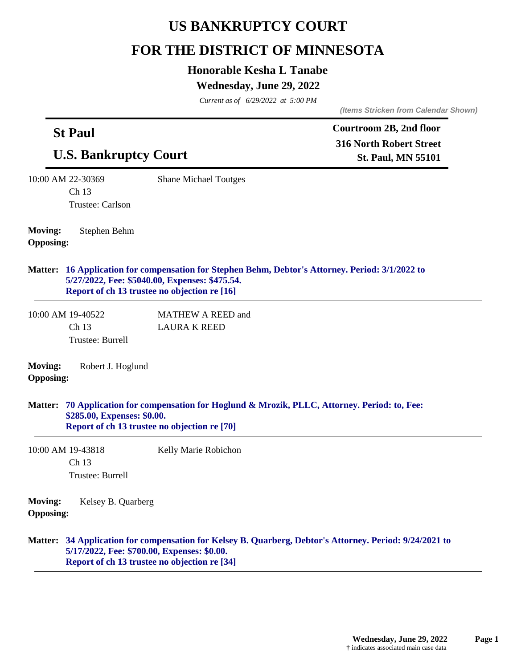# **US BANKRUPTCY COURT**

# **FOR THE DISTRICT OF MINNESOTA**

## **Honorable Kesha L Tanabe**

## **Wednesday, June 29, 2022**

*Current as of 6/29/2022 at 5:00 PM*

*(Items Stricken from Calendar Shown)*

| <b>St Paul</b><br><b>U.S. Bankruptcy Court</b> |                                                |                                                                                                | Courtroom 2B, 2nd floor                                                                                 |  |
|------------------------------------------------|------------------------------------------------|------------------------------------------------------------------------------------------------|---------------------------------------------------------------------------------------------------------|--|
|                                                |                                                |                                                                                                | <b>316 North Robert Street</b><br><b>St. Paul, MN 55101</b>                                             |  |
|                                                | 10:00 AM 22-30369<br>Ch 13<br>Trustee: Carlson | <b>Shane Michael Toutges</b>                                                                   |                                                                                                         |  |
| <b>Moving:</b><br><b>Opposing:</b>             | Stephen Behm                                   |                                                                                                |                                                                                                         |  |
|                                                |                                                | 5/27/2022, Fee: \$5040.00, Expenses: \$475.54.<br>Report of ch 13 trustee no objection re [16] | Matter: 16 Application for compensation for Stephen Behm, Debtor's Attorney. Period: 3/1/2022 to        |  |
|                                                | 10:00 AM 19-40522<br>Ch 13<br>Trustee: Burrell | <b>MATHEW A REED and</b><br><b>LAURA K REED</b>                                                |                                                                                                         |  |
| <b>Moving:</b><br><b>Opposing:</b>             | Robert J. Hoglund                              |                                                                                                |                                                                                                         |  |
|                                                | \$285.00, Expenses: \$0.00.                    | Report of ch 13 trustee no objection re [70]                                                   | Matter: 70 Application for compensation for Hoglund & Mrozik, PLLC, Attorney. Period: to, Fee:          |  |
|                                                | 10:00 AM 19-43818<br>Ch 13<br>Trustee: Burrell | Kelly Marie Robichon                                                                           |                                                                                                         |  |
| Moving:<br><b>Opposing:</b>                    | Kelsey B. Quarberg                             |                                                                                                |                                                                                                         |  |
|                                                |                                                | 5/17/2022, Fee: \$700.00, Expenses: \$0.00.<br>Report of ch 13 trustee no objection re [34]    | Matter: 34 Application for compensation for Kelsey B. Quarberg, Debtor's Attorney. Period: 9/24/2021 to |  |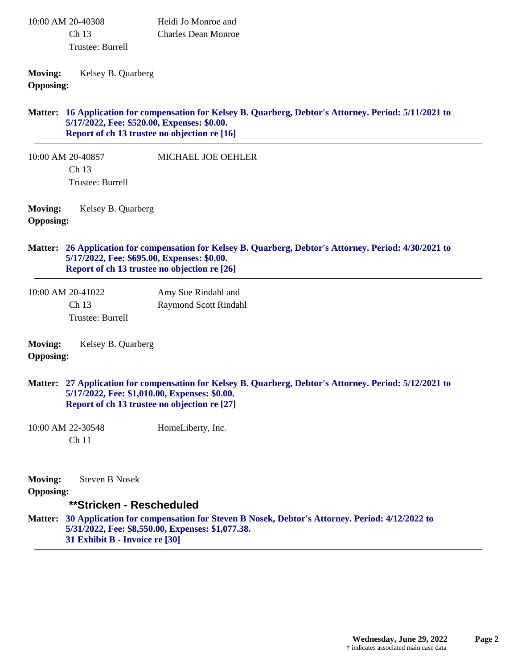| 10:00 AM 20-40308 | Heidi Jo Monroe and |
|-------------------|---------------------|
| Ch <sub>13</sub>  | Charles Dean Monroe |
| Trustee: Burrell  |                     |

**Moving:** Kelsey B. Quarberg **Opposing:**

#### **16 Application for compensation for Kelsey B. Quarberg, Debtor's Attorney. Period: 5/11/2021 to Matter: 5/17/2022, Fee: \$520.00, Expenses: \$0.00. Report of ch 13 trustee no objection re [16]**

10:00 AM 20-40857 Ch 13 Trustee: Burrell MICHAEL JOE OEHLER

**Moving:** Kelsey B. Quarberg **Opposing:**

#### **26 Application for compensation for Kelsey B. Quarberg, Debtor's Attorney. Period: 4/30/2021 to Matter: 5/17/2022, Fee: \$695.00, Expenses: \$0.00. Report of ch 13 trustee no objection re [26]**

10:00 AM 20-41022 Ch 13 Trustee: Burrell Amy Sue Rindahl and Raymond Scott Rindahl

| <b>Moving:</b>   | Kelsey B. Quarberg |
|------------------|--------------------|
| <b>Opposing:</b> |                    |

### **27 Application for compensation for Kelsey B. Quarberg, Debtor's Attorney. Period: 5/12/2021 to Matter: 5/17/2022, Fee: \$1,010.00, Expenses: \$0.00. Report of ch 13 trustee no objection re [27]**

10:00 AM 22-30548 Ch 11 HomeLiberty, Inc.

**Moving:** Steven B Nosek **Opposing: \*\*Stricken - Rescheduled 30 Application for compensation for Steven B Nosek, Debtor's Attorney. Period: 4/12/2022 to Matter: 5/31/2022, Fee: \$8,550.00, Expenses: \$1,077.38. 31 Exhibit B - Invoice re [30]**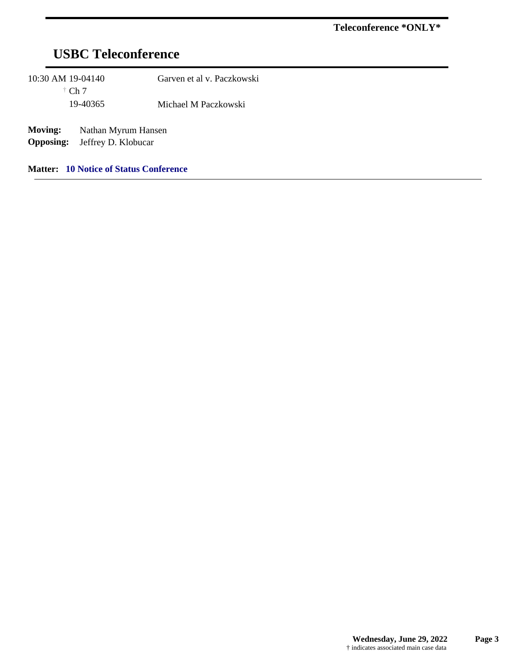# **USBC Teleconference**

| 10:30 AM 19-04140                  | $\dagger$ Ch 7                             | Garven et al v. Paczkowski |
|------------------------------------|--------------------------------------------|----------------------------|
|                                    | 19-40365                                   | Michael M Paczkowski       |
| <b>Moving:</b><br><b>Opposing:</b> | Nathan Myrum Hansen<br>Jeffrey D. Klobucar |                            |

**Matter: 10 Notice of Status Conference**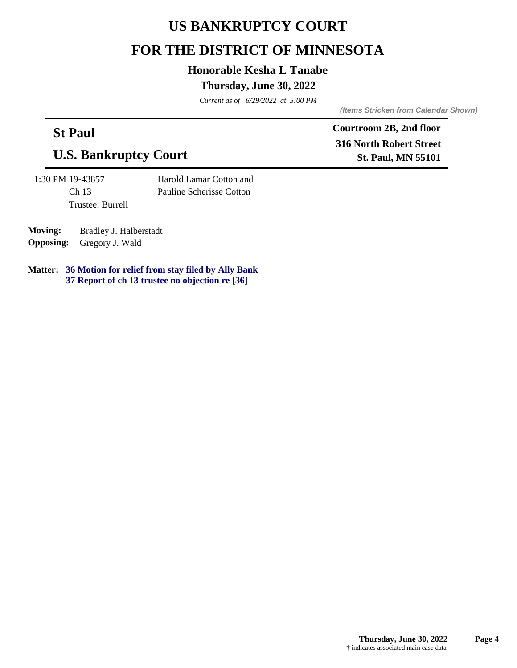## **US BANKRUPTCY COURT**

## **FOR THE DISTRICT OF MINNESOTA**

## **Honorable Kesha L Tanabe**

## **Thursday, June 30, 2022**

*Current as of 6/29/2022 at 5:00 PM*

*(Items Stricken from Calendar Shown)*

## **St Paul**

## **U.S. Bankruptcy Court**

1:30 PM 19-43857 Ch 13 Trustee: Burrell Harold Lamar Cotton and Pauline Scherisse Cotton

**Moving:** Bradley J. Halberstadt **Opposing:** Gregory J. Wald

**36 Motion for relief from stay filed by Ally Bank Matter: 37 Report of ch 13 trustee no objection re [36]**

**Courtroom 2B, 2nd floor 316 North Robert Street St. Paul, MN 55101**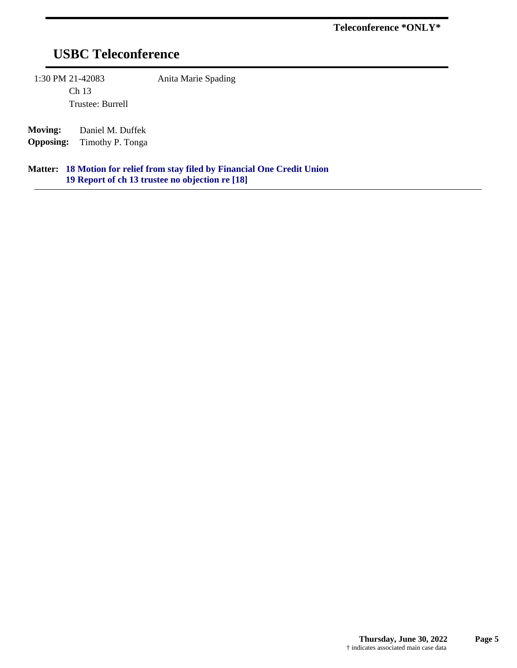# **USBC Teleconference**

1:30 PM 21-42083 Anita Marie Spading

Ch 13 Trustee: Burrell

**Moving:** Daniel M. Duffek **Opposing:** Timothy P. Tonga

**18 Motion for relief from stay filed by Financial One Credit Union Matter: 19 Report of ch 13 trustee no objection re [18]**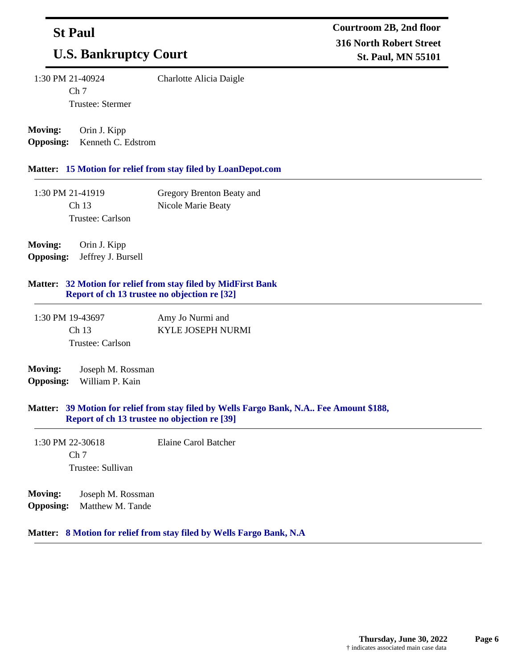## **St Paul**

## **U.S. Bankruptcy Court**

1:30 PM 21-40924 Ch 7

Charlotte Alicia Daigle

**Moving:** Orin J. Kipp

**Opposing:** Kenneth C. Edstrom

Trustee: Stermer

#### **Matter: 15 Motion for relief from stay filed by LoanDepot.com**

| 1:30 PM 21-41919 | Gregory Brenton Beaty and |
|------------------|---------------------------|
| Ch 13            | Nicole Marie Beaty        |
| Trustee: Carlson |                           |

**Moving:** Orin J. Kipp **Opposing:** Jeffrey J. Bursell

#### **32 Motion for relief from stay filed by MidFirst Bank Matter: Report of ch 13 trustee no objection re [32]**

| 1:30 PM 19-43697 | Amy Jo Nurmi and  |
|------------------|-------------------|
| Ch <sub>13</sub> | KYLE JOSEPH NURMI |
| Trustee: Carlson |                   |

### **Moving:** Joseph M. Rossman **Opposing:** William P. Kain

#### **39 Motion for relief from stay filed by Wells Fargo Bank, N.A.. Fee Amount \$188, Matter: Report of ch 13 trustee no objection re [39]**

- 1:30 PM 22-30618 Ch 7 Trustee: Sullivan Elaine Carol Batcher
- **Moving:** Joseph M. Rossman **Opposing:** Matthew M. Tande

#### **Matter: 8 Motion for relief from stay filed by Wells Fargo Bank, N.A**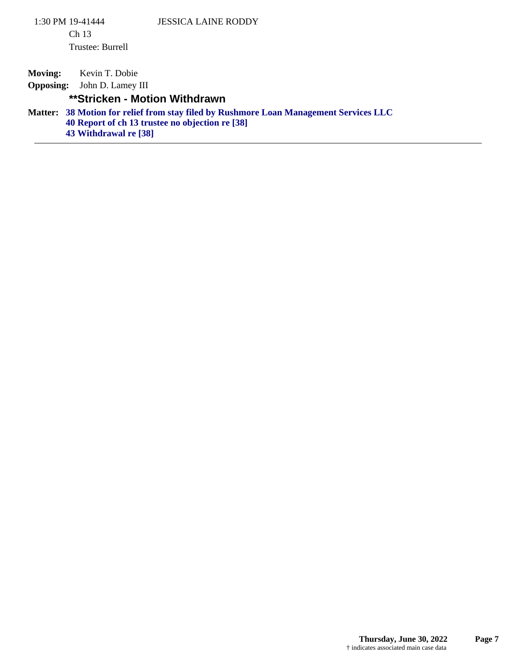**Moving:** Kevin T. Dobie

**Opposing:** John D. Lamey III

## **\*\*Stricken - Motion Withdrawn**

**38 Motion for relief from stay filed by Rushmore Loan Management Services LLC 40 Report of ch 13 trustee no objection re [38] 43 Withdrawal re [38] Matter:**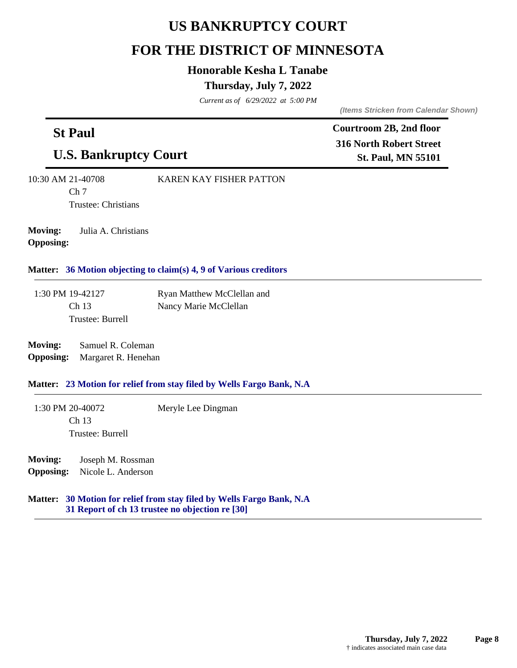# **US BANKRUPTCY COURT**

## **FOR THE DISTRICT OF MINNESOTA**

## **Honorable Kesha L Tanabe**

## **Thursday, July 7, 2022**

*Current as of 6/29/2022 at 5:00 PM*

*(Items Stricken from Calendar Shown)*

**Courtroom 2B, 2nd floor**

| <b>St Paul</b>                                                                                       |                                          | Courtroom 2B, 2nd floor<br><b>316 North Robert Street</b>             |                           |
|------------------------------------------------------------------------------------------------------|------------------------------------------|-----------------------------------------------------------------------|---------------------------|
| <b>U.S. Bankruptcy Court</b>                                                                         |                                          |                                                                       | <b>St. Paul, MN 55101</b> |
| 10:30 AM 21-40708<br><b>KAREN KAY FISHER PATTON</b><br>Ch <sub>7</sub><br><b>Trustee: Christians</b> |                                          |                                                                       |                           |
| <b>Moving:</b><br><b>Opposing:</b>                                                                   | Julia A. Christians                      |                                                                       |                           |
|                                                                                                      |                                          | Matter: 36 Motion objecting to claim(s) 4, 9 of Various creditors     |                           |
| 1:30 PM 19-42127                                                                                     |                                          | Ryan Matthew McClellan and                                            |                           |
| Ch 13                                                                                                | Trustee: Burrell                         | Nancy Marie McClellan                                                 |                           |
| <b>Moving:</b><br><b>Opposing:</b>                                                                   | Samuel R. Coleman<br>Margaret R. Henehan |                                                                       |                           |
|                                                                                                      |                                          | Matter: 23 Motion for relief from stay filed by Wells Fargo Bank, N.A |                           |
| 1:30 PM 20-40072<br>Ch 13                                                                            |                                          | Meryle Lee Dingman                                                    |                           |
|                                                                                                      | Trustee: Burrell                         |                                                                       |                           |
| <b>Moving:</b><br><b>Opposing:</b>                                                                   | Joseph M. Rossman<br>Nicole L. Anderson  |                                                                       |                           |

#### **30 Motion for relief from stay filed by Wells Fargo Bank, N.A Matter: 31 Report of ch 13 trustee no objection re [30]**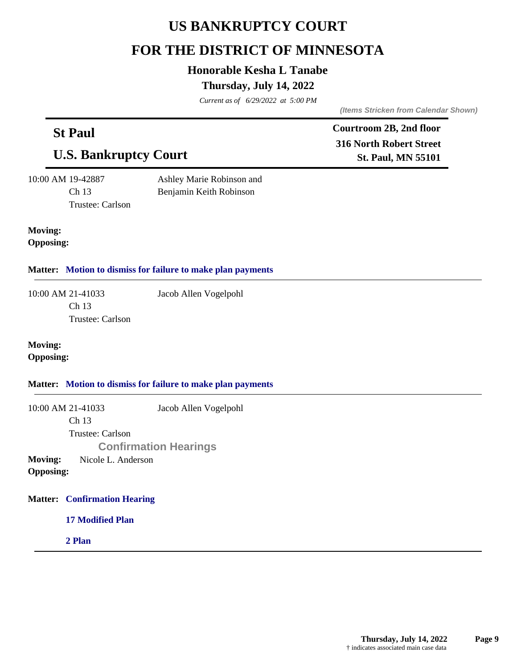# **US BANKRUPTCY COURT**

# **FOR THE DISTRICT OF MINNESOTA**

## **Honorable Kesha L Tanabe**

## **Thursday, July 14, 2022**

*Current as of 6/29/2022 at 5:00 PM*

**St Paul**

*(Items Stricken from Calendar Shown)*

**Courtroom 2B, 2nd floor**

| nt i aui<br><b>U.S. Bankruptcy Court</b>                                                                   | <b>316 North Robert Street</b><br><b>St. Paul, MN 55101</b> |  |
|------------------------------------------------------------------------------------------------------------|-------------------------------------------------------------|--|
| 10:00 AM 19-42887<br>Ashley Marie Robinson and<br>Ch 13<br>Benjamin Keith Robinson<br>Trustee: Carlson     |                                                             |  |
| <b>Moving:</b><br><b>Opposing:</b>                                                                         |                                                             |  |
|                                                                                                            | Matter: Motion to dismiss for failure to make plan payments |  |
| 10:00 AM 21-41033<br>Ch 13<br>Trustee: Carlson                                                             | Jacob Allen Vogelpohl                                       |  |
| <b>Moving:</b><br><b>Opposing:</b>                                                                         |                                                             |  |
|                                                                                                            | Matter: Motion to dismiss for failure to make plan payments |  |
| 10:00 AM 21-41033<br>Ch 13<br>Trustee: Carlson<br>Nicole L. Anderson<br><b>Moving:</b><br><b>Opposing:</b> | Jacob Allen Vogelpohl<br><b>Confirmation Hearings</b>       |  |
| <b>Matter: Confirmation Hearing</b>                                                                        |                                                             |  |
| <b>17 Modified Plan</b>                                                                                    |                                                             |  |
| 2 Plan                                                                                                     |                                                             |  |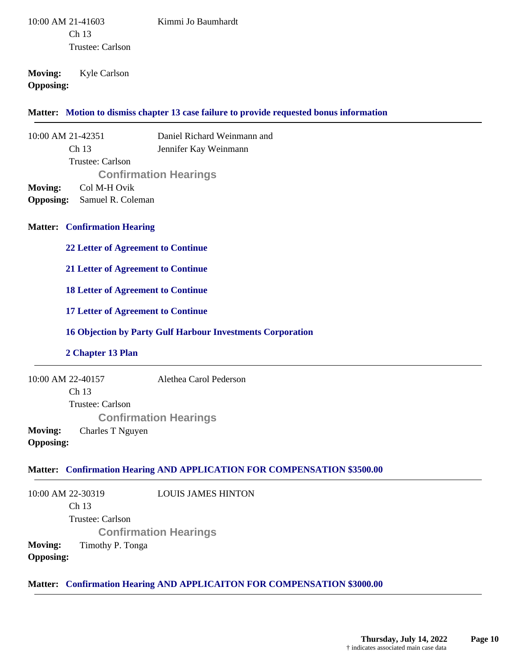10:00 AM 21-41603 Ch 13 Trustee: Carlson

#### Kimmi Jo Baumhardt

## **Moving:** Kyle Carlson **Opposing:**

#### **Matter: Motion to dismiss chapter 13 case failure to provide requested bonus information**

10:00 AM 21-42351 Ch 13 Trustee: Carlson Daniel Richard Weinmann and Jennifer Kay Weinmann **Confirmation Hearings**

**Moving:** Col M-H Ovik

**Opposing:** Samuel R. Coleman

### **Matter: Confirmation Hearing**

**22 Letter of Agreement to Continue**

**21 Letter of Agreement to Continue**

**18 Letter of Agreement to Continue**

#### **17 Letter of Agreement to Continue**

#### **16 Objection by Party Gulf Harbour Investments Corporation**

#### **2 Chapter 13 Plan**

10:00 AM 22-40157 Ch 13 Alethea Carol Pederson

Trustee: Carlson **Confirmation Hearings Moving:** Charles T Nguyen **Opposing:**

## **Matter: Confirmation Hearing AND APPLICATION FOR COMPENSATION \$3500.00**

10:00 AM 22-30319 Ch 13 Trustee: Carlson LOUIS JAMES HINTON **Confirmation Hearings Moving:** Timothy P. Tonga **Opposing:**

**Matter: Confirmation Hearing AND APPLICAITON FOR COMPENSATION \$3000.00**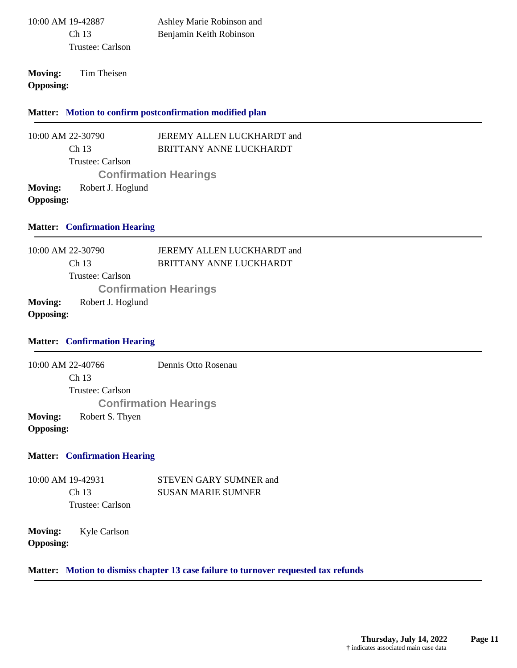| 10:00 AM 19-42887 |
|-------------------|
| Ch 13             |
| Trustee: Carlson  |

Ashley Marie Robinson and Benjamin Keith Robinson

**Moving:** Tim Theisen **Opposing:**

**Matter: Motion to confirm postconfirmation modified plan**

10:00 AM 22-30790 Ch 13 Trustee: Carlson JEREMY ALLEN LUCKHARDT and BRITTANY ANNE LUCKHARDT **Confirmation Hearings Moving:** Robert J. Hoglund **Opposing:**

### **Matter: Confirmation Hearing**

10:00 AM 22-30790 Ch 13 Trustee: Carlson JEREMY ALLEN LUCKHARDT and BRITTANY ANNE LUCKHARDT **Confirmation Hearings Moving:** Robert J. Hoglund **Opposing:**

#### **Matter: Confirmation Hearing**

10:00 AM 22-40766 Ch 13 Trustee: Carlson Dennis Otto Rosenau **Confirmation Hearings Moving:** Robert S. Thyen **Opposing:**

#### **Matter: Confirmation Hearing**

10:00 AM 19-42931 Ch 13 Trustee: Carlson STEVEN GARY SUMNER and SUSAN MARIE SUMNER

**Moving:** Kyle Carlson **Opposing:**

## **Matter: Motion to dismiss chapter 13 case failure to turnover requested tax refunds**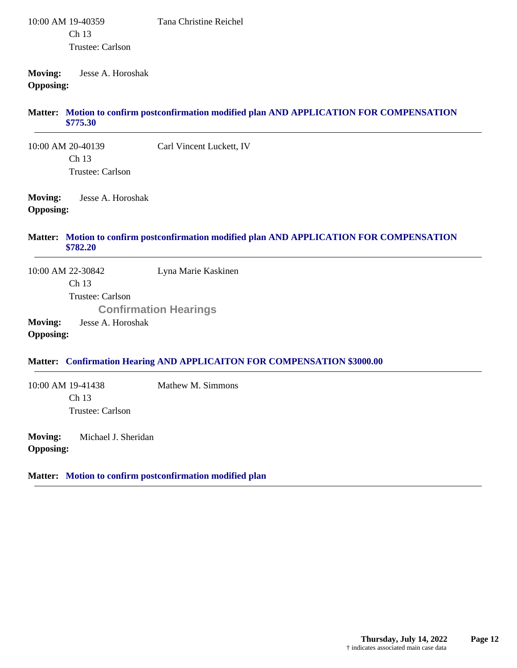#### 10:00 AM 19-40359 Ch 13 Trustee: Carlson Tana Christine Reichel

### **Moving:** Jesse A. Horoshak **Opposing:**

### **Motion to confirm postconfirmation modified plan AND APPLICATION FOR COMPENSATION Matter: \$775.30**

10:00 AM 20-40139 Ch 13 Trustee: Carlson Carl Vincent Luckett, IV

**Moving:** Jesse A. Horoshak **Opposing:**

#### **Motion to confirm postconfirmation modified plan AND APPLICATION FOR COMPENSATION Matter: \$782.20**

10:00 AM 22-30842 Ch 13 Trustee: Carlson Lyna Marie Kaskinen **Confirmation Hearings**

**Moving:** Jesse A. Horoshak **Opposing:**

## **Matter: Confirmation Hearing AND APPLICAITON FOR COMPENSATION \$3000.00**

10:00 AM 19-41438 Ch 13 Trustee: Carlson Mathew M. Simmons

**Moving:** Michael J. Sheridan **Opposing:**

**Matter: Motion to confirm postconfirmation modified plan**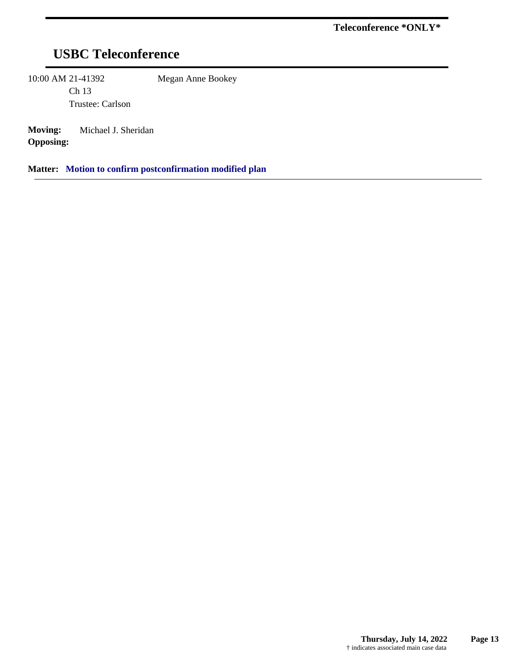# **USBC Teleconference**

10:00 AM 21-41392

Ch 13 Trustee: Carlson Megan Anne Bookey

**Moving:** Michael J. Sheridan **Opposing:**

**Matter: Motion to confirm postconfirmation modified plan**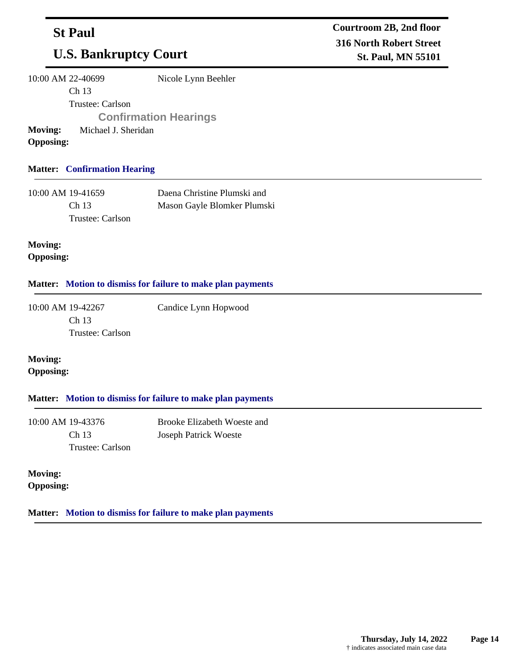## **St Paul**

# **U.S. Bankruptcy Court**

10:00 AM 22-40699

Ch 13

Nicole Lynn Beehler

Trustee: Carlson

**Confirmation Hearings**

**Moving:** Michael J. Sheridan **Opposing:**

## **Matter: Confirmation Hearing**

| 10:00 AM 19-41659 | Daena Christine Plumski and |
|-------------------|-----------------------------|
| Ch <sub>13</sub>  | Mason Gayle Blomker Plumski |
| Trustee: Carlson  |                             |

**Moving: Opposing:**

## **Matter: Motion to dismiss for failure to make plan payments**

10:00 AM 19-42267 Ch 13 Trustee: Carlson Candice Lynn Hopwood

**Moving: Opposing:**

## **Matter: Motion to dismiss for failure to make plan payments**

10:00 AM 19-43376 Ch 13 Trustee: Carlson Brooke Elizabeth Woeste and Joseph Patrick Woeste

**Moving: Opposing:**

**Matter: Motion to dismiss for failure to make plan payments**

**Courtroom 2B, 2nd floor 316 North Robert Street St. Paul, MN 55101**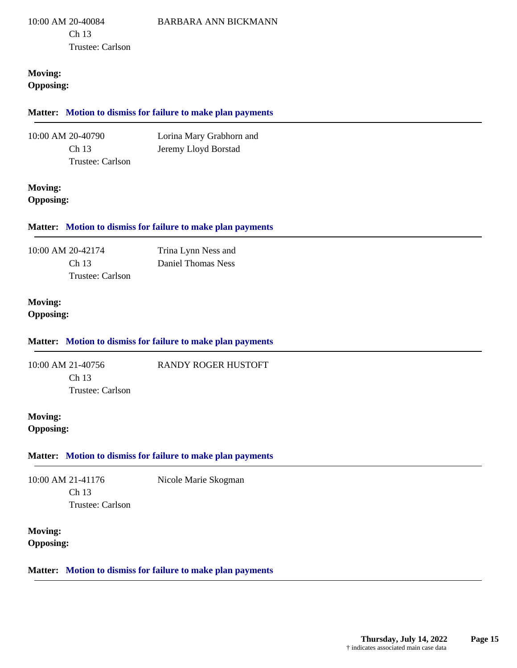10:00 AM 20-40084 Ch 13 Trustee: Carlson

### **Moving: Opposing:**

## **Matter: Motion to dismiss for failure to make plan payments** 10:00 AM 20-40790 Ch 13 Trustee: Carlson Lorina Mary Grabhorn and Jeremy Lloyd Borstad **Moving: Opposing: Matter: Motion to dismiss for failure to make plan payments** 10:00 AM 20-42174 Ch 13 Trustee: Carlson Trina Lynn Ness and Daniel Thomas Ness **Moving: Opposing: Matter: Motion to dismiss for failure to make plan payments** 10:00 AM 21-40756 Ch 13 Trustee: Carlson RANDY ROGER HUSTOFT **Moving: Opposing: Matter: Motion to dismiss for failure to make plan payments** 10:00 AM 21-41176 Ch 13 Trustee: Carlson Nicole Marie Skogman **Moving: Opposing: Matter: Motion to dismiss for failure to make plan payments**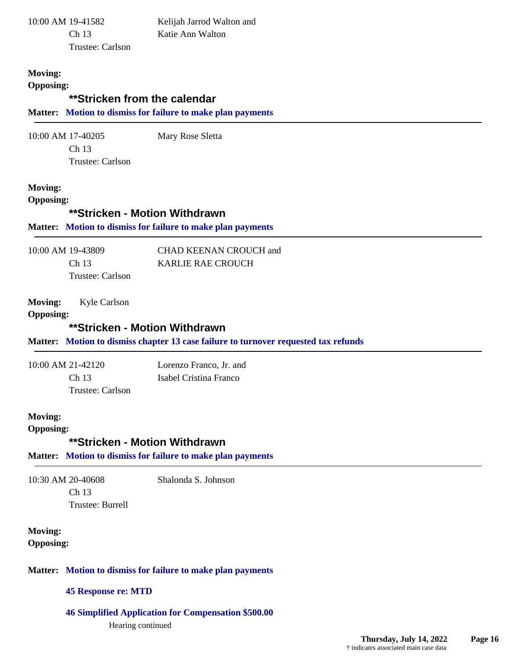|                                    | 10:00 AM 19-41582          | Kelijah Jarrod Walton and                                                                                            |  |
|------------------------------------|----------------------------|----------------------------------------------------------------------------------------------------------------------|--|
|                                    | Ch <sub>13</sub>           | Katie Ann Walton                                                                                                     |  |
|                                    | Trustee: Carlson           |                                                                                                                      |  |
|                                    |                            |                                                                                                                      |  |
| <b>Moving:</b>                     |                            |                                                                                                                      |  |
| <b>Opposing:</b>                   |                            | **Stricken from the calendar                                                                                         |  |
|                                    |                            |                                                                                                                      |  |
|                                    |                            | Matter: Motion to dismiss for failure to make plan payments                                                          |  |
|                                    | 10:00 AM 17-40205          | Mary Rose Sletta                                                                                                     |  |
|                                    | Ch 13                      |                                                                                                                      |  |
|                                    | Trustee: Carlson           |                                                                                                                      |  |
| <b>Moving:</b>                     |                            |                                                                                                                      |  |
| <b>Opposing:</b>                   |                            |                                                                                                                      |  |
|                                    |                            | **Stricken - Motion Withdrawn                                                                                        |  |
|                                    |                            | Matter: Motion to dismiss for failure to make plan payments                                                          |  |
|                                    |                            |                                                                                                                      |  |
|                                    | 10:00 AM 19-43809          | CHAD KEENAN CROUCH and                                                                                               |  |
|                                    | Ch 13                      | <b>KARLIE RAE CROUCH</b>                                                                                             |  |
|                                    | Trustee: Carlson           |                                                                                                                      |  |
| <b>Moving:</b><br><b>Opposing:</b> | Kyle Carlson               |                                                                                                                      |  |
|                                    |                            | **Stricken - Motion Withdrawn<br>Matter: Motion to dismiss chapter 13 case failure to turnover requested tax refunds |  |
|                                    |                            |                                                                                                                      |  |
|                                    | 10:00 AM 21-42120          | Lorenzo Franco, Jr. and                                                                                              |  |
|                                    | Ch 13<br>Trustee: Carlson  | Isabel Cristina Franco                                                                                               |  |
|                                    |                            |                                                                                                                      |  |
| <b>Moving:</b>                     |                            |                                                                                                                      |  |
| <b>Opposing:</b>                   |                            |                                                                                                                      |  |
|                                    |                            | **Stricken - Motion Withdrawn                                                                                        |  |
|                                    |                            | Matter: Motion to dismiss for failure to make plan payments                                                          |  |
|                                    | 10:30 AM 20-40608          |                                                                                                                      |  |
|                                    | Ch 13                      | Shalonda S. Johnson                                                                                                  |  |
|                                    | Trustee: Burrell           |                                                                                                                      |  |
|                                    |                            |                                                                                                                      |  |
| <b>Moving:</b><br><b>Opposing:</b> |                            |                                                                                                                      |  |
|                                    |                            | Matter: Motion to dismiss for failure to make plan payments                                                          |  |
|                                    | <b>45 Response re: MTD</b> |                                                                                                                      |  |

Hearing continued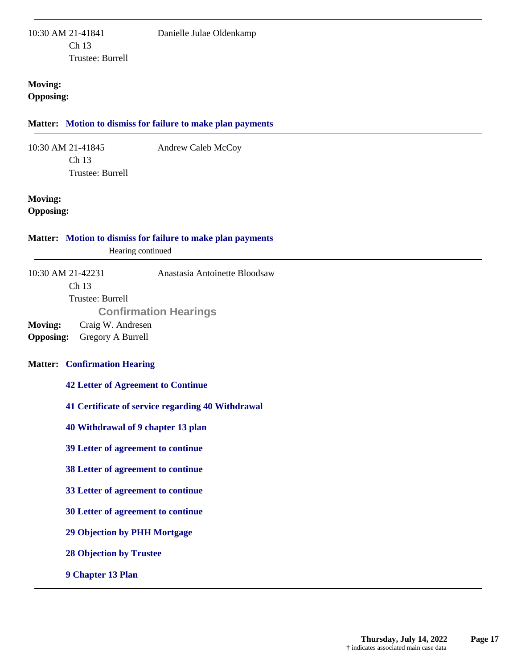### **Moving: Opposing:**

#### **Matter: Motion to dismiss for failure to make plan payments**

10:30 AM 21-41845 Ch 13 Trustee: Burrell Andrew Caleb McCoy

## **Moving:**

**Opposing:**

#### **Matter: Motion to dismiss for failure to make plan payments**

Hearing continued

10:30 AM 21-42231 Ch 13 Trustee: Burrell Anastasia Antoinette Bloodsaw **Confirmation Hearings**

**Moving:** Craig W. Andresen **Opposing:** Gregory A Burrell

## **Matter: Confirmation Hearing**

#### **42 Letter of Agreement to Continue**

- **41 Certificate of service regarding 40 Withdrawal**
- **40 Withdrawal of 9 chapter 13 plan**
- **39 Letter of agreement to continue**
- **38 Letter of agreement to continue**
- **33 Letter of agreement to continue**
- **30 Letter of agreement to continue**
- **29 Objection by PHH Mortgage**
- **28 Objection by Trustee**
- **9 Chapter 13 Plan**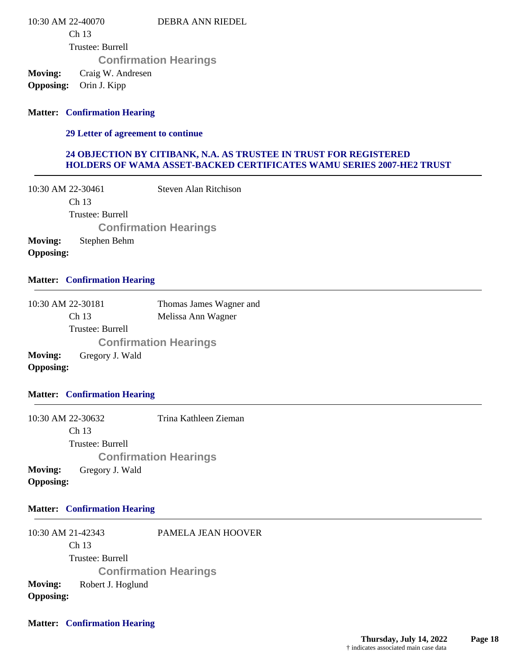10:30 AM 22-40070 DEBRA ANN RIEDEL

Ch 13

Trustee: Burrell

**Confirmation Hearings**

**Moving:** Craig W. Andresen

**Opposing:** Orin J. Kipp

## **Matter: Confirmation Hearing**

#### **29 Letter of agreement to continue**

### **24 OBJECTION BY CITIBANK, N.A. AS TRUSTEE IN TRUST FOR REGISTERED HOLDERS OF WAMA ASSET-BACKED CERTIFICATES WAMU SERIES 2007-HE2 TRUST**

10:30 AM 22-30461 Ch 13 Trustee: Burrell Steven Alan Ritchison **Confirmation Hearings**

**Moving:** Stephen Behm **Opposing:**

### **Matter: Confirmation Hearing**

| 10:30 AM 22-30181 |                  | Thomas James Wagner and      |
|-------------------|------------------|------------------------------|
|                   | Ch <sub>13</sub> | Melissa Ann Wagner           |
|                   | Trustee: Burrell |                              |
|                   |                  | <b>Confirmation Hearings</b> |
| Moving:           | Gregory J. Wald  |                              |
| <b>Opposing:</b>  |                  |                              |

#### **Matter: Confirmation Hearing**

10:30 AM 22-30632 Ch 13 Trustee: Burrell Trina Kathleen Zieman **Confirmation Hearings Moving:** Gregory J. Wald **Opposing:**

## **Matter: Confirmation Hearing**

10:30 AM 21-42343 Ch 13 Trustee: Burrell PAMELA JEAN HOOVER **Confirmation Hearings Moving:** Robert J. Hoglund **Opposing:**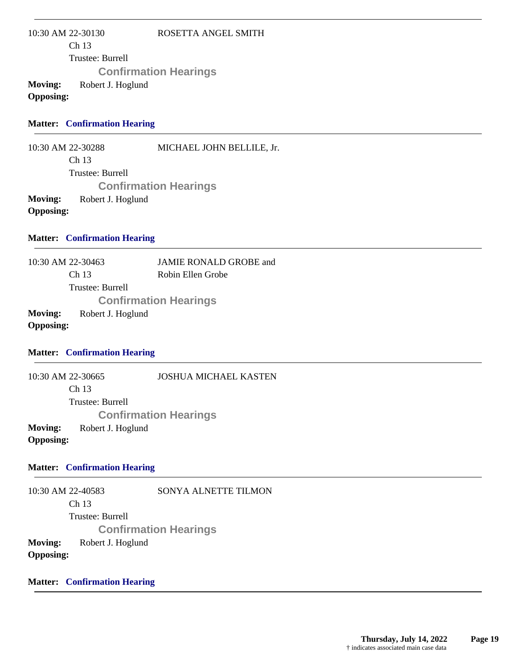10:30 AM 22-30130 Ch 13 Trustee: Burrell ROSETTA ANGEL SMITH **Confirmation Hearings Moving:** Robert J. Hoglund **Opposing:**

#### **Matter: Confirmation Hearing**

10:30 AM 22-30288 Ch 13 Trustee: Burrell MICHAEL JOHN BELLILE, Jr. **Confirmation Hearings Moving:** Robert J. Hoglund **Opposing:**

### **Matter: Confirmation Hearing**

10:30 AM 22-30463 Ch 13 Trustee: Burrell JAMIE RONALD GROBE and Robin Ellen Grobe **Confirmation Hearings Moving:** Robert J. Hoglund **Opposing:**

#### **Matter: Confirmation Hearing**

10:30 AM 22-30665 Ch 13 Trustee: Burrell JOSHUA MICHAEL KASTEN **Confirmation Hearings Moving:** Robert J. Hoglund **Opposing:**

#### **Matter: Confirmation Hearing**

10:30 AM 22-40583 Ch 13 Trustee: Burrell SONYA ALNETTE TILMON **Confirmation Hearings Moving:** Robert J. Hoglund **Opposing:**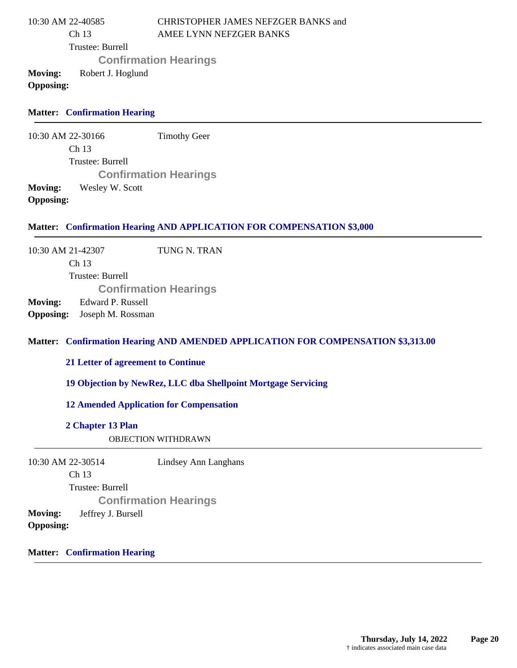| 10:30 AM 22-40585 |                   | CHRISTOPHER JAMES NEFZGER BANKS and |
|-------------------|-------------------|-------------------------------------|
|                   | Ch <sub>13</sub>  | AMEE LYNN NEFZGER BANKS             |
|                   | Trustee: Burrell  |                                     |
|                   |                   | <b>Confirmation Hearings</b>        |
| Moving:           | Robert J. Hoglund |                                     |
| <b>Opposing:</b>  |                   |                                     |

### **Matter: Confirmation Hearing**

10:30 AM 22-30166 Ch 13 Trustee: Burrell Timothy Geer **Confirmation Hearings Moving:** Wesley W. Scott **Opposing:**

#### **Matter: Confirmation Hearing AND APPLICATION FOR COMPENSATION \$3,000**

10:30 AM 21-42307 Ch 13 Trustee: Burrell TUNG N. TRAN **Confirmation Hearings Moving:** Edward P. Russell **Opposing:** Joseph M. Rossman

#### **Confirmation Hearing AND AMENDED APPLICATION FOR COMPENSATION \$3,313.00 Matter:**

**21 Letter of agreement to Continue**

**19 Objection by NewRez, LLC dba Shellpoint Mortgage Servicing**

**12 Amended Application for Compensation**

#### **2 Chapter 13 Plan**

OBJECTION WITHDRAWN

| 10:30 AM 22-30514                                        |                  | Lindsey Ann Langhans         |
|----------------------------------------------------------|------------------|------------------------------|
|                                                          | Ch <sub>13</sub> |                              |
|                                                          | Trustee: Burrell |                              |
|                                                          |                  | <b>Confirmation Hearings</b> |
| <b>Moving:</b><br>Jeffrey J. Bursell<br><b>Opposing:</b> |                  |                              |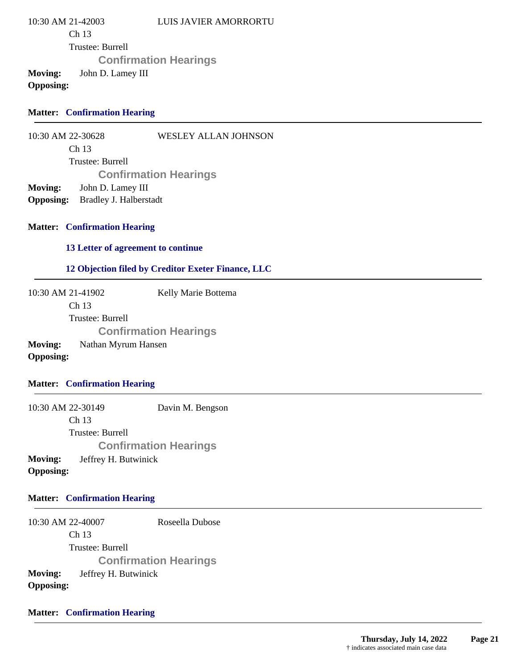10:30 AM 21-42003 Ch 13 Trustee: Burrell LUIS JAVIER AMORRORTU **Confirmation Hearings Moving:** John D. Lamey III **Opposing:**

### **Matter: Confirmation Hearing**

10:30 AM 22-30628 WESLEY ALLAN JOHNSON

> Ch 13 Trustee: Burrell **Confirmation Hearings**

**Moving:** John D. Lamey III

**Opposing:** Bradley J. Halberstadt

#### **Matter: Confirmation Hearing**

**13 Letter of agreement to continue**

### **12 Objection filed by Creditor Exeter Finance, LLC**

10:30 AM 21-41902 Ch 13 Trustee: Burrell Kelly Marie Bottema **Confirmation Hearings Moving:** Nathan Myrum Hansen **Opposing:**

### **Matter: Confirmation Hearing**

10:30 AM 22-30149 Ch 13 Trustee: Burrell Davin M. Bengson **Confirmation Hearings Moving:** Jeffrey H. Butwinick **Opposing:**

### **Matter: Confirmation Hearing**

10:30 AM 22-40007 Ch 13 Trustee: Burrell Roseella Dubose **Confirmation Hearings Moving:** Jeffrey H. Butwinick **Opposing:**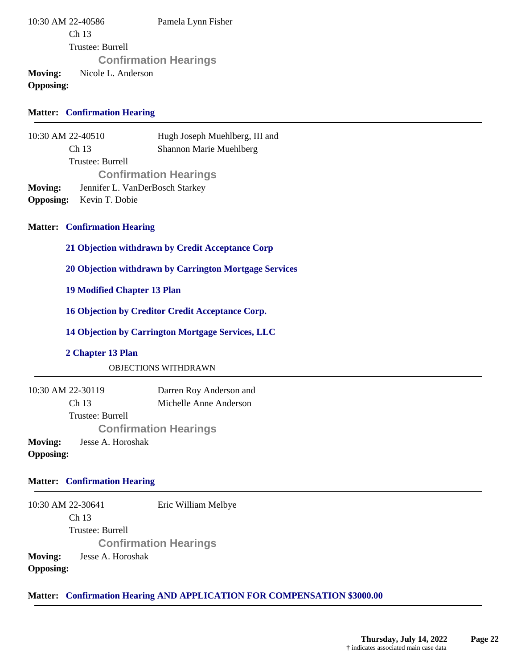10:30 AM 22-40586 Ch 13 Trustee: Burrell Pamela Lynn Fisher **Confirmation Hearings Moving:** Nicole L. Anderson **Opposing:**

### **Matter: Confirmation Hearing**

10:30 AM 22-40510 Ch 13 Trustee: Burrell Hugh Joseph Muehlberg, III and Shannon Marie Muehlberg **Confirmation Hearings Moving:** Jennifer L. VanDerBosch Starkey **Opposing:** Kevin T. Dobie

#### **Matter: Confirmation Hearing**

**21 Objection withdrawn by Credit Acceptance Corp**

**20 Objection withdrawn by Carrington Mortgage Services**

**19 Modified Chapter 13 Plan**

**16 Objection by Creditor Credit Acceptance Corp.**

**14 Objection by Carrington Mortgage Services, LLC**

#### **2 Chapter 13 Plan**

OBJECTIONS WITHDRAWN

10:30 AM 22-30119 Ch 13 Trustee: Burrell Darren Roy Anderson and Michelle Anne Anderson **Confirmation Hearings Moving:** Jesse A. Horoshak **Opposing:**

#### **Matter: Confirmation Hearing**

10:30 AM 22-30641 Ch 13 Trustee: Burrell Eric William Melbye **Confirmation Hearings Moving:** Jesse A. Horoshak **Opposing:**

#### **Matter: Confirmation Hearing AND APPLICATION FOR COMPENSATION \$3000.00**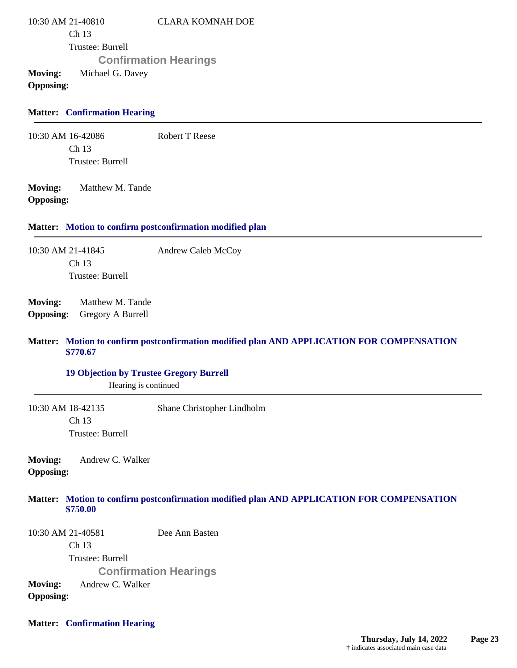10:30 AM 21-40810 Ch 13 Trustee: Burrell CLARA KOMNAH DOE **Confirmation Hearings Moving:** Michael G. Davey **Opposing:**

### **Matter: Confirmation Hearing**

10:30 AM 16-42086 Ch 13 Trustee: Burrell Robert T Reese

**Moving:** Matthew M. Tande **Opposing:**

#### **Matter: Motion to confirm postconfirmation modified plan**

10:30 AM 21-41845 Ch 13 Trustee: Burrell Andrew Caleb McCoy

**Moving:** Matthew M. Tande **Opposing:** Gregory A Burrell

#### **Motion to confirm postconfirmation modified plan AND APPLICATION FOR COMPENSATION Matter: \$770.67**

#### **19 Objection by Trustee Gregory Burrell**

Hearing is continued

10:30 AM 18-42135 Ch 13 Trustee: Burrell Shane Christopher Lindholm

**Moving:** Andrew C. Walker **Opposing:**

#### **Motion to confirm postconfirmation modified plan AND APPLICATION FOR COMPENSATION Matter: \$750.00**

10:30 AM 21-40581 Ch 13 Trustee: Burrell Dee Ann Basten **Confirmation Hearings Moving:** Andrew C. Walker **Opposing:**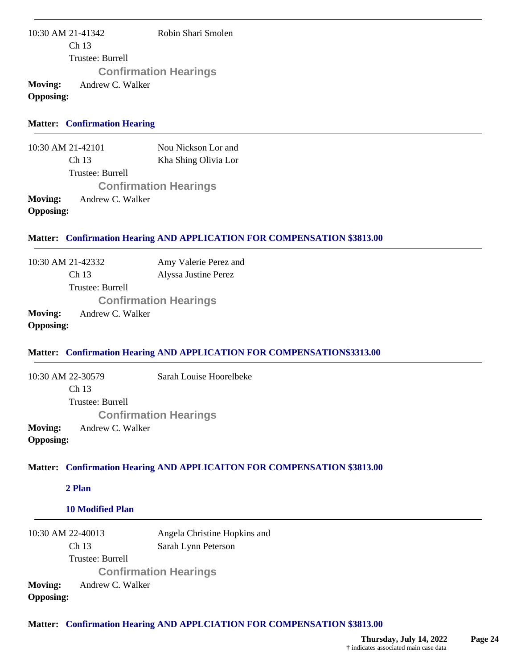10:30 AM 21-41342 Ch 13 Trustee: Burrell Robin Shari Smolen **Confirmation Hearings Moving:** Andrew C. Walker **Opposing:**

#### **Matter: Confirmation Hearing**

10:30 AM 21-42101 Ch 13 Trustee: Burrell Nou Nickson Lor and Kha Shing Olivia Lor **Confirmation Hearings Moving:** Andrew C. Walker **Opposing:**

#### **Matter: Confirmation Hearing AND APPLICATION FOR COMPENSATION \$3813.00**

10:30 AM 21-42332 Ch 13 Trustee: Burrell Amy Valerie Perez and Alyssa Justine Perez **Confirmation Hearings Moving:** Andrew C. Walker

**Opposing:**

### **Matter: Confirmation Hearing AND APPLICATION FOR COMPENSATION\$3313.00**

10:30 AM 22-30579 Ch 13 Trustee: Burrell Sarah Louise Hoorelbeke **Confirmation Hearings Moving:** Andrew C. Walker **Opposing:**

#### **Confirmation Hearing AND APPLICAITON FOR COMPENSATION \$3813.00 Matter:**

**2 Plan**

#### **10 Modified Plan**

10:30 AM 22-40013 Ch 13 Trustee: Burrell Angela Christine Hopkins and Sarah Lynn Peterson **Confirmation Hearings Moving:** Andrew C. Walker **Opposing:**

**Matter: Confirmation Hearing AND APPLCIATION FOR COMPENSATION \$3813.00**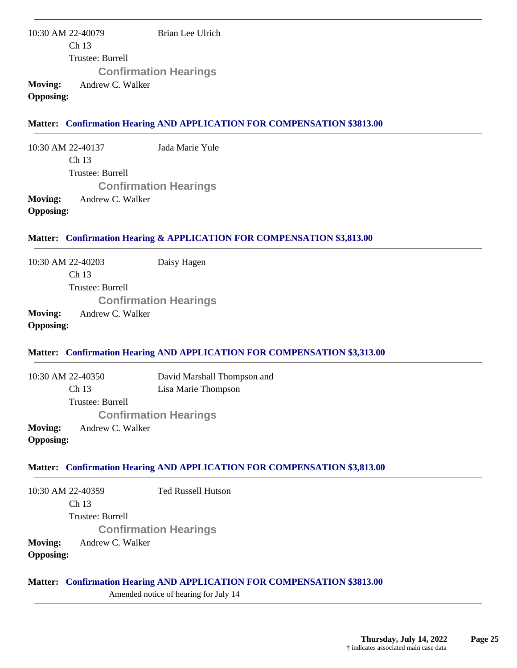10:30 AM 22-40079 Ch 13 Trustee: Burrell Brian Lee Ulrich **Confirmation Hearings Moving:** Andrew C. Walker **Opposing:**

## **Matter: Confirmation Hearing AND APPLICATION FOR COMPENSATION \$3813.00**

10:30 AM 22-40137 Ch 13 Trustee: Burrell Jada Marie Yule **Confirmation Hearings Moving:** Andrew C. Walker **Opposing:**

## **Matter: Confirmation Hearing & APPLICATION FOR COMPENSATION \$3,813.00**

10:30 AM 22-40203 Daisy Hagen

Ch 13 Trustee: Burrell **Confirmation Hearings Moving:** Andrew C. Walker

**Opposing:**

## **Matter: Confirmation Hearing AND APPLICATION FOR COMPENSATION \$3,313.00**

10:30 AM 22-40350 Ch 13 Trustee: Burrell David Marshall Thompson and Lisa Marie Thompson **Confirmation Hearings Moving:** Andrew C. Walker **Opposing:**

### **Matter: Confirmation Hearing AND APPLICATION FOR COMPENSATION \$3,813.00**

10:30 AM 22-40359 Ch 13 Trustee: Burrell Ted Russell Hutson **Confirmation Hearings Moving:** Andrew C. Walker **Opposing:**

#### **Matter: Confirmation Hearing AND APPLICATION FOR COMPENSATION \$3813.00**

Amended notice of hearing for July 14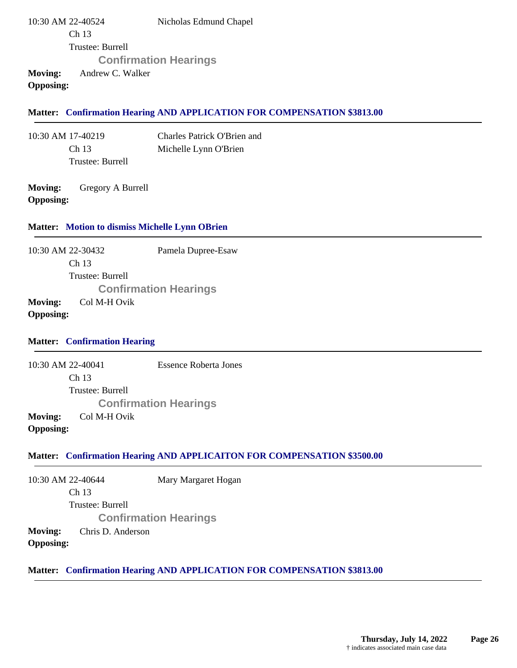10:30 AM 22-40524 Ch 13 Trustee: Burrell Nicholas Edmund Chapel **Confirmation Hearings Moving:** Andrew C. Walker

**Opposing:**

### **Matter: Confirmation Hearing AND APPLICATION FOR COMPENSATION \$3813.00**

10:30 AM 17-40219 Ch 13 Trustee: Burrell Charles Patrick O'Brien and Michelle Lynn O'Brien

**Moving:** Gregory A Burrell **Opposing:**

#### **Matter: Motion to dismiss Michelle Lynn OBrien**

10:30 AM 22-30432 Ch 13 Trustee: Burrell Pamela Dupree-Esaw **Confirmation Hearings Moving:** Col M-H Ovik

## **Opposing:**

#### **Matter: Confirmation Hearing**

10:30 AM 22-40041 Ch 13 Trustee: Burrell Essence Roberta Jones **Confirmation Hearings Moving:** Col M-H Ovik **Opposing:**

#### **Matter: Confirmation Hearing AND APPLICAITON FOR COMPENSATION \$3500.00**

10:30 AM 22-40644 Ch 13 Trustee: Burrell Mary Margaret Hogan **Confirmation Hearings Moving:** Chris D. Anderson **Opposing:**

### **Matter: Confirmation Hearing AND APPLICATION FOR COMPENSATION \$3813.00**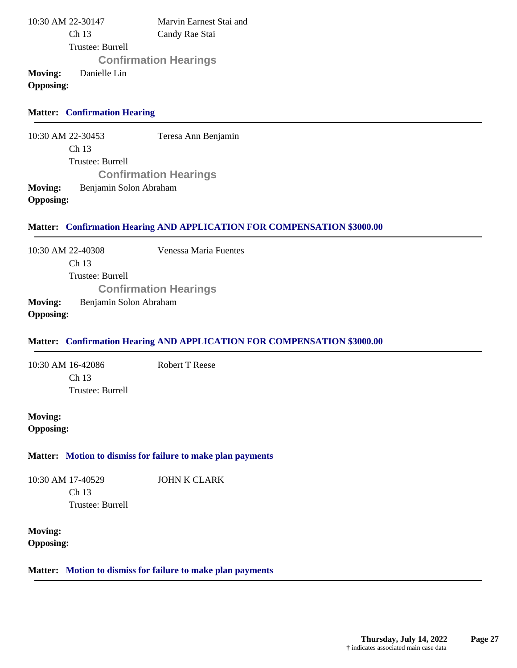| 10:30 AM 22-30147 |                  | Marvin Earnest Stai and      |
|-------------------|------------------|------------------------------|
|                   | Ch <sub>13</sub> | Candy Rae Stai               |
|                   | Trustee: Burrell |                              |
|                   |                  | <b>Confirmation Hearings</b> |
| <b>Moving:</b>    | Danielle Lin     |                              |
| <b>Opposing:</b>  |                  |                              |

### **Matter: Confirmation Hearing**

10:30 AM 22-30453 Ch 13 Trustee: Burrell Teresa Ann Benjamin **Confirmation Hearings Moving:** Benjamin Solon Abraham **Opposing:**

#### **Matter: Confirmation Hearing AND APPLICATION FOR COMPENSATION \$3000.00**

10:30 AM 22-40308 Ch 13 Trustee: Burrell Venessa Maria Fuentes **Confirmation Hearings Moving:** Benjamin Solon Abraham

### **Opposing:**

### **Matter: Confirmation Hearing AND APPLICATION FOR COMPENSATION \$3000.00**

10:30 AM 16-42086 Ch 13 Trustee: Burrell Robert T Reese

**Moving: Opposing:**

#### **Matter: Motion to dismiss for failure to make plan payments**

10:30 AM 17-40529 Ch 13 Trustee: Burrell JOHN K CLARK

**Moving: Opposing:**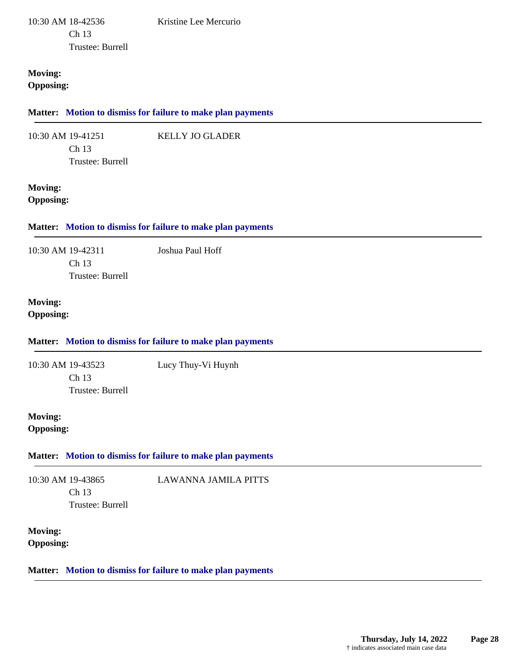10:30 AM 18-42536 Ch 13 Trustee: Burrell Kristine Lee Mercurio

KELLY JO GLADER

## **Moving: Opposing:**

#### **Matter: Motion to dismiss for failure to make plan payments**

10:30 AM 19-41251 Ch 13

Trustee: Burrell

### **Moving: Opposing:**

## **Matter: Motion to dismiss for failure to make plan payments**

10:30 AM 19-42311 Ch 13 Trustee: Burrell Joshua Paul Hoff

#### **Moving: Opposing:**

## **Matter: Motion to dismiss for failure to make plan payments**

10:30 AM 19-43523 Ch 13 Trustee: Burrell Lucy Thuy-Vi Huynh

## **Moving: Opposing:**

## **Matter: Motion to dismiss for failure to make plan payments**

10:30 AM 19-43865 Ch 13 Trustee: Burrell LAWANNA JAMILA PITTS

**Moving: Opposing:**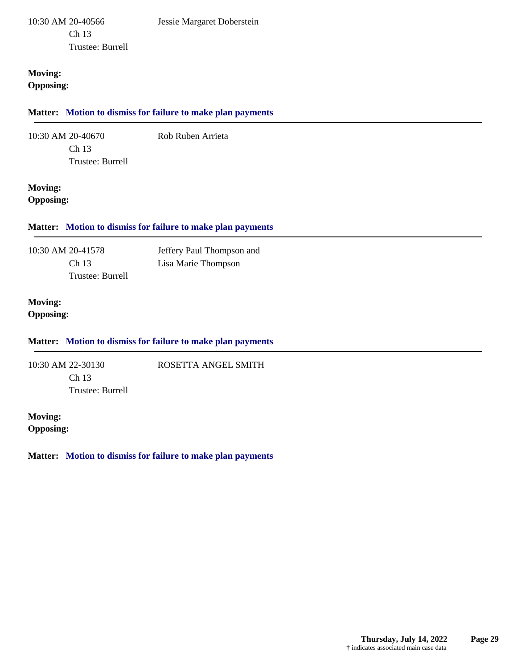### **Moving: Opposing:**

### **Matter: Motion to dismiss for failure to make plan payments**

10:30 AM 20-40670 Ch 13

Rob Ruben Arrieta

ROSETTA ANGEL SMITH

Trustee: Burrell

## **Moving: Opposing:**

**Matter: Motion to dismiss for failure to make plan payments**

10:30 AM 20-41578 Ch 13 Trustee: Burrell Jeffery Paul Thompson and Lisa Marie Thompson

## **Moving: Opposing:**

## **Matter: Motion to dismiss for failure to make plan payments**

10:30 AM 22-30130 Ch 13 Trustee: Burrell

**Moving: Opposing:**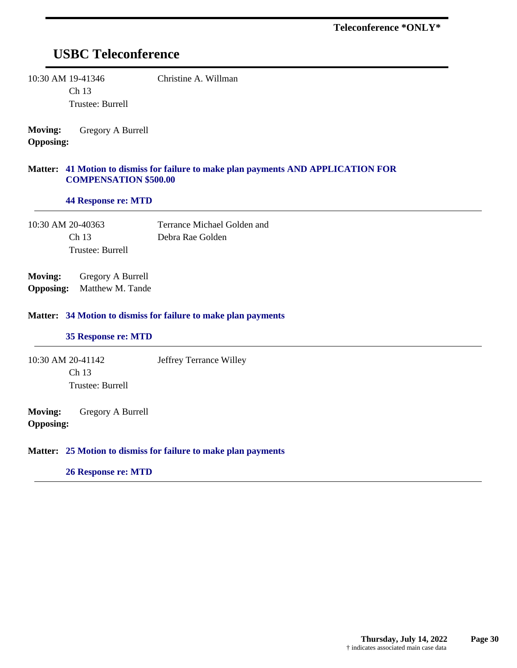## **USBC Teleconference**

10:30 AM 19-41346 Ch 13

Trustee: Burrell

Christine A. Willman

**Moving:** Gregory A Burrell **Opposing:**

#### **41 Motion to dismiss for failure to make plan payments AND APPLICATION FOR Matter: COMPENSATION \$500.00**

**44 Response re: MTD**

10:30 AM 20-40363 Ch 13 Trustee: Burrell Terrance Michael Golden and Debra Rae Golden

**Moving:** Gregory A Burrell **Opposing:** Matthew M. Tande

#### **34 Motion to dismiss for failure to make plan payments Matter:**

#### **35 Response re: MTD**

10:30 AM 20-41142 Ch 13 Trustee: Burrell Jeffrey Terrance Willey

**Moving:** Gregory A Burrell **Opposing:**

#### **25 Motion to dismiss for failure to make plan payments Matter:**

#### **26 Response re: MTD**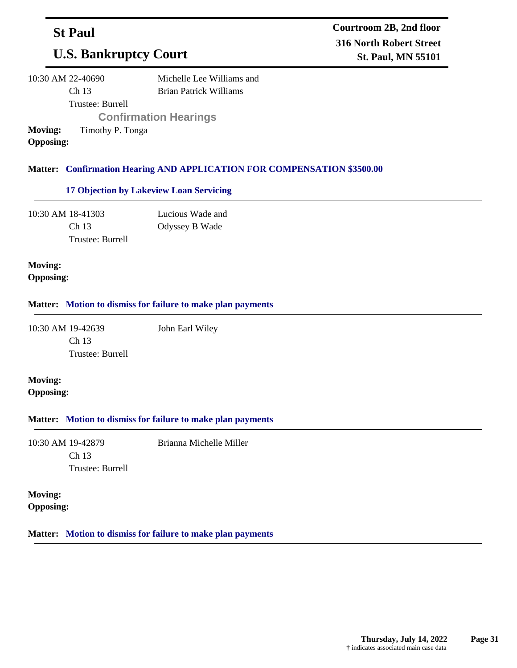## **St Paul**

# **U.S. Bankruptcy Court**

| 10:30 AM 22-40690 |                  | Michelle Lee Williams and     |
|-------------------|------------------|-------------------------------|
|                   | Ch <sub>13</sub> | <b>Brian Patrick Williams</b> |
|                   | Trustee: Burrell |                               |
|                   |                  | <b>Confirmation Hearings</b>  |
| <b>Moving:</b>    | Timothy P. Tonga |                               |
| <b>Opposing:</b>  |                  |                               |

## **Confirmation Hearing AND APPLICATION FOR COMPENSATION \$3500.00 Matter:**

## **17 Objection by Lakeview Loan Servicing**

10:30 AM 18-41303 Ch 13 Trustee: Burrell Lucious Wade and Odyssey B Wade

## **Moving: Opposing:**

#### **Matter: Motion to dismiss for failure to make plan payments**

10:30 AM 19-42639 Ch 13 Trustee: Burrell

**Moving: Opposing:**

#### **Matter: Motion to dismiss for failure to make plan payments**

10:30 AM 19-42879 Ch 13 Trustee: Burrell Brianna Michelle Miller

John Earl Wiley

**Moving:**

**Opposing:**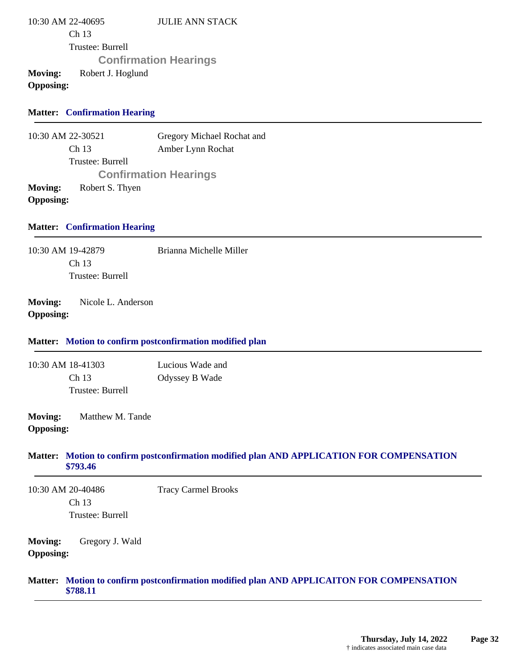| 10:30 AM 22-40695<br>Ch 13<br>Trustee: Burrell                                                                       | <b>JULIE ANN STACK</b>                                                                    |
|----------------------------------------------------------------------------------------------------------------------|-------------------------------------------------------------------------------------------|
| <b>Moving:</b><br>Robert J. Hoglund<br><b>Opposing:</b>                                                              | <b>Confirmation Hearings</b>                                                              |
| <b>Matter: Confirmation Hearing</b>                                                                                  |                                                                                           |
| 10:30 AM 22-30521<br>Ch 13<br>Trustee: Burrell<br><b>Moving:</b><br>Robert S. Thyen<br><b>Opposing:</b>              | Gregory Michael Rochat and<br>Amber Lynn Rochat<br><b>Confirmation Hearings</b>           |
| <b>Matter: Confirmation Hearing</b>                                                                                  |                                                                                           |
| 10:30 AM 19-42879<br>Ch 13<br>Trustee: Burrell                                                                       | Brianna Michelle Miller                                                                   |
| <b>Moving:</b><br>Nicole L. Anderson<br><b>Opposing:</b><br>Matter: Motion to confirm postconfirmation modified plan |                                                                                           |
| 10:30 AM 18-41303<br>Ch 13<br>Trustee: Burrell                                                                       | Lucious Wade and<br>Odyssey B Wade                                                        |
| <b>Moving:</b><br>Matthew M. Tande<br><b>Opposing:</b>                                                               |                                                                                           |
| \$793.46                                                                                                             | Matter: Motion to confirm postconfirmation modified plan AND APPLICATION FOR COMPENSATION |
| 10:30 AM 20-40486<br>Ch 13<br>Trustee: Burrell                                                                       | <b>Tracy Carmel Brooks</b>                                                                |
| <b>Moving:</b><br>Gregory J. Wald<br><b>Opposing:</b>                                                                |                                                                                           |
| \$788.11                                                                                                             | Matter: Motion to confirm postconfirmation modified plan AND APPLICAITON FOR COMPENSATION |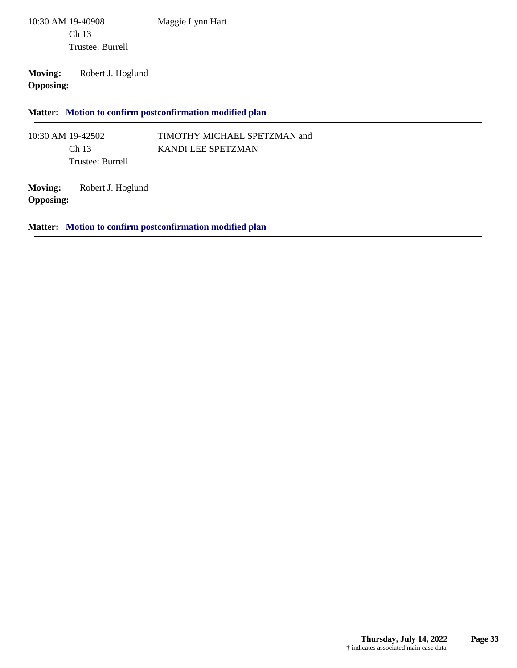10:30 AM 19-40908 Ch 13 Trustee: Burrell Maggie Lynn Hart

**Moving:** Robert J. Hoglund **Opposing:**

**Matter: Motion to confirm postconfirmation modified plan**

10:30 AM 19-42502 Ch 13 Trustee: Burrell TIMOTHY MICHAEL SPETZMAN and KANDI LEE SPETZMAN

**Moving:** Robert J. Hoglund **Opposing:**

**Matter: Motion to confirm postconfirmation modified plan**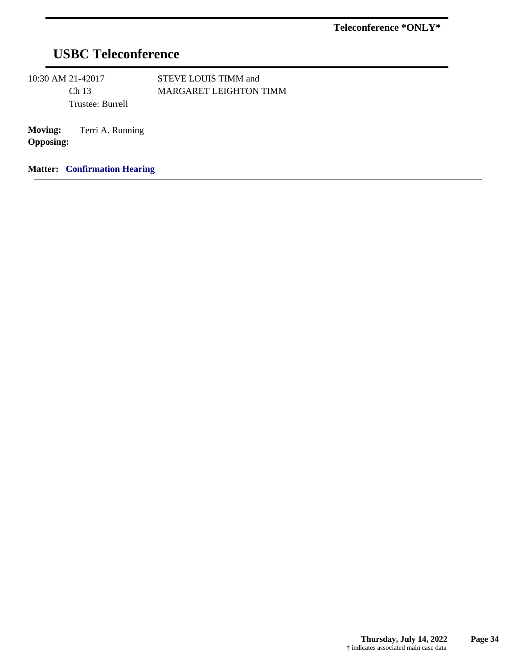# **USBC Teleconference**

10:30 AM 21-42017 Ch 13 Trustee: Burrell STEVE LOUIS TIMM and MARGARET LEIGHTON TIMM

**Moving:** Terri A. Running **Opposing:**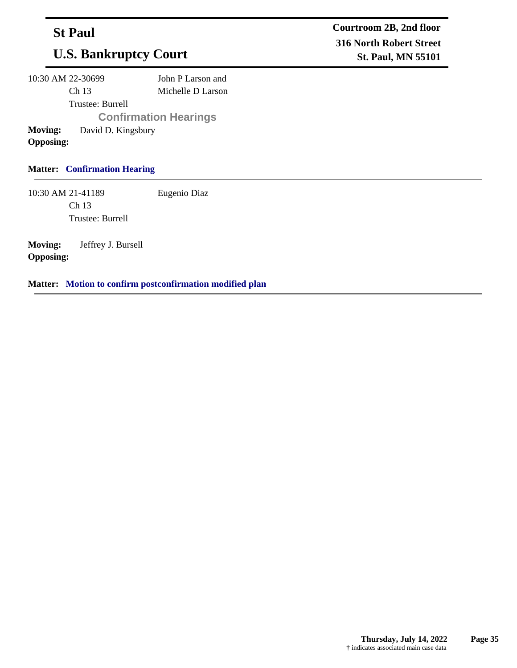## **St Paul**

# **U.S. Bankruptcy Court**

10:30 AM 22-30699 Ch 13 Trustee: Burrell John P Larson and Michelle D Larson **Confirmation Hearings Moving:** David D. Kingsbury **Opposing:**

## **Matter: Confirmation Hearing**

10:30 AM 21-41189 Ch 13 Trustee: Burrell Eugenio Diaz

**Moving:** Jeffrey J. Bursell **Opposing:**

**Matter: Motion to confirm postconfirmation modified plan**

**Courtroom 2B, 2nd floor 316 North Robert Street St. Paul, MN 55101**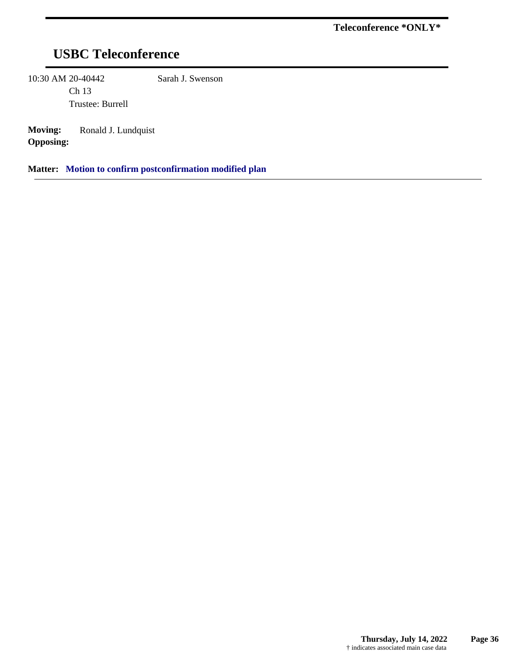# **USBC Teleconference**

10:30 AM 20-40442

Ch 13 Trustee: Burrell Sarah J. Swenson

**Moving:** Ronald J. Lundquist **Opposing:**

**Matter: Motion to confirm postconfirmation modified plan**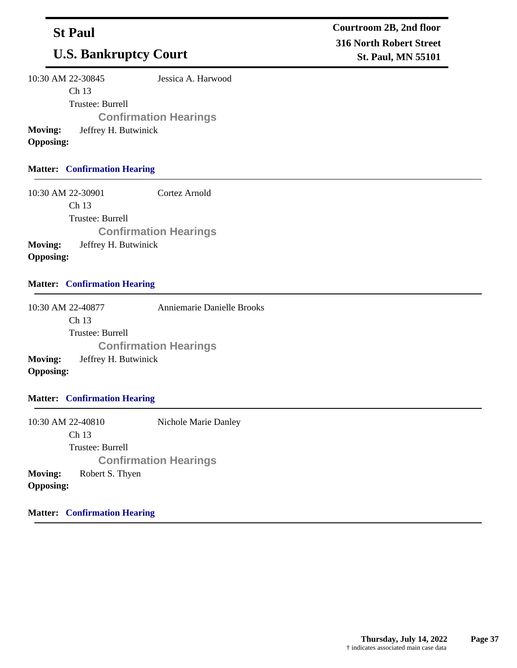## **St Paul**

# **U.S. Bankruptcy Court**

10:30 AM 22-30845 Ch 13 Jessica A. Harwood

Trustee: Burrell

**Confirmation Hearings**

**Moving:** Jeffrey H. Butwinick

**Opposing:**

## **Matter: Confirmation Hearing**

10:30 AM 22-30901 Ch 13 Trustee: Burrell Cortez Arnold **Confirmation Hearings Moving:** Jeffrey H. Butwinick **Opposing:**

## **Matter: Confirmation Hearing**

10:30 AM 22-40877 Ch 13 Trustee: Burrell Anniemarie Danielle Brooks **Confirmation Hearings Moving:** Jeffrey H. Butwinick **Opposing:**

## **Matter: Confirmation Hearing**

10:30 AM 22-40810 Ch 13 Trustee: Burrell Nichole Marie Danley **Confirmation Hearings Moving:** Robert S. Thyen **Opposing:**

**Matter: Confirmation Hearing**

**Courtroom 2B, 2nd floor 316 North Robert Street St. Paul, MN 55101**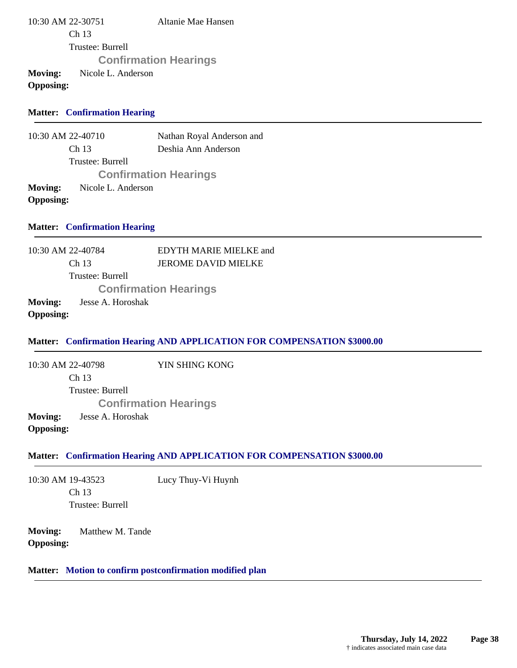| 10:30 AM 22-30751                                 |                  | Altanie Mae Hansen           |
|---------------------------------------------------|------------------|------------------------------|
|                                                   | Ch <sub>13</sub> |                              |
|                                                   | Trustee: Burrell |                              |
|                                                   |                  | <b>Confirmation Hearings</b> |
| Moving:<br>Nicole L. Anderson<br><b>Opposing:</b> |                  |                              |

### **Matter: Confirmation Hearing**

10:30 AM 22-40710 Ch 13 Trustee: Burrell Nathan Royal Anderson and Deshia Ann Anderson **Confirmation Hearings Moving:** Nicole L. Anderson **Opposing:**

#### **Matter: Confirmation Hearing**

10:30 AM 22-40784 Ch 13 Trustee: Burrell EDYTH MARIE MIELKE and JEROME DAVID MIELKE **Confirmation Hearings Moving:** Jesse A. Horoshak **Opposing:**

#### **Matter: Confirmation Hearing AND APPLICATION FOR COMPENSATION \$3000.00**

10:30 AM 22-40798 Ch 13 Trustee: Burrell YIN SHING KONG **Confirmation Hearings Moving:** Jesse A. Horoshak **Opposing:**

#### **Matter: Confirmation Hearing AND APPLICATION FOR COMPENSATION \$3000.00**

10:30 AM 19-43523 Ch 13 Trustee: Burrell Lucy Thuy-Vi Huynh

**Moving:** Matthew M. Tande **Opposing:**

## **Matter: Motion to confirm postconfirmation modified plan**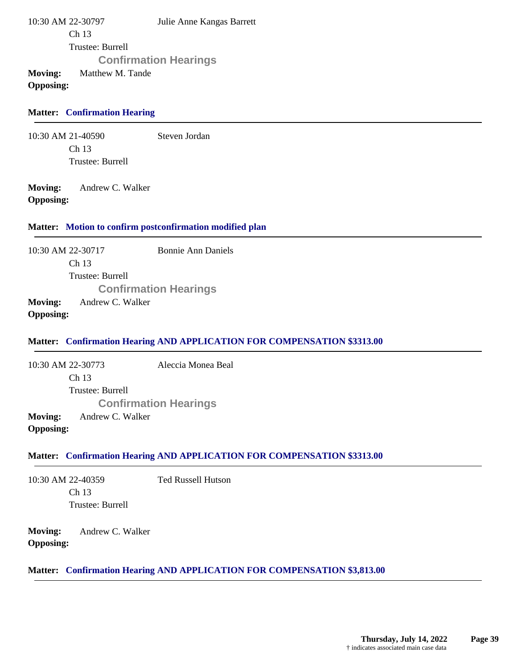10:30 AM 22-30797 Ch 13 Trustee: Burrell Julie Anne Kangas Barrett **Confirmation Hearings Moving:** Matthew M. Tande

**Opposing:**

#### **Matter: Confirmation Hearing**

10:30 AM 21-40590 Ch 13 Trustee: Burrell Steven Jordan

**Moving:** Andrew C. Walker **Opposing:**

#### **Matter: Motion to confirm postconfirmation modified plan**

10:30 AM 22-30717 Ch 13 Trustee: Burrell Bonnie Ann Daniels **Confirmation Hearings Moving:** Andrew C. Walker **Opposing:**

#### **Matter: Confirmation Hearing AND APPLICATION FOR COMPENSATION \$3313.00**

10:30 AM 22-30773 Ch 13 Trustee: Burrell Aleccia Monea Beal **Confirmation Hearings Moving:** Andrew C. Walker **Opposing:**

#### **Matter: Confirmation Hearing AND APPLICATION FOR COMPENSATION \$3313.00**

10:30 AM 22-40359 Ch 13 Trustee: Burrell Ted Russell Hutson

**Moving:** Andrew C. Walker **Opposing:**

### **Matter: Confirmation Hearing AND APPLICATION FOR COMPENSATION \$3,813.00**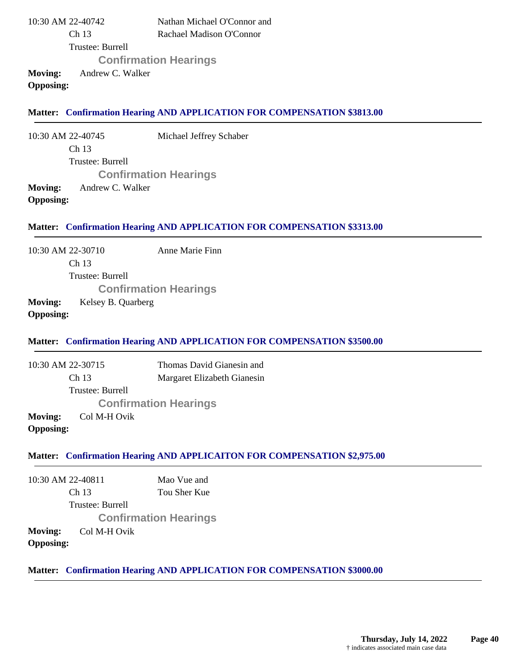| 10:30 AM 22-40742           | Nathan Michael O'Connor and  |
|-----------------------------|------------------------------|
| Ch <sub>13</sub>            | Rachael Madison O'Connor     |
| Trustee: Burrell            |                              |
|                             | <b>Confirmation Hearings</b> |
| Moving:<br>Andrew C. Walker |                              |
| <b>Opposing:</b>            |                              |

#### **Matter: Confirmation Hearing AND APPLICATION FOR COMPENSATION \$3813.00**

10:30 AM 22-40745 Ch 13 Trustee: Burrell Michael Jeffrey Schaber **Confirmation Hearings Moving:** Andrew C. Walker **Opposing:**

#### **Matter: Confirmation Hearing AND APPLICATION FOR COMPENSATION \$3313.00**

10:30 AM 22-30710 Ch 13 Trustee: Burrell Anne Marie Finn **Confirmation Hearings Moving:** Kelsey B. Quarberg

#### **Opposing:**

#### **Matter: Confirmation Hearing AND APPLICATION FOR COMPENSATION \$3500.00**

10:30 AM 22-30715 Ch 13 Trustee: Burrell Thomas David Gianesin and Margaret Elizabeth Gianesin **Confirmation Hearings Moving:** Col M-H Ovik **Opposing:**

#### **Matter: Confirmation Hearing AND APPLICAITON FOR COMPENSATION \$2,975.00**

10:30 AM 22-40811 Ch 13 Trustee: Burrell Mao Vue and Tou Sher Kue **Confirmation Hearings Moving:** Col M-H Ovik **Opposing:**

#### **Matter: Confirmation Hearing AND APPLICATION FOR COMPENSATION \$3000.00**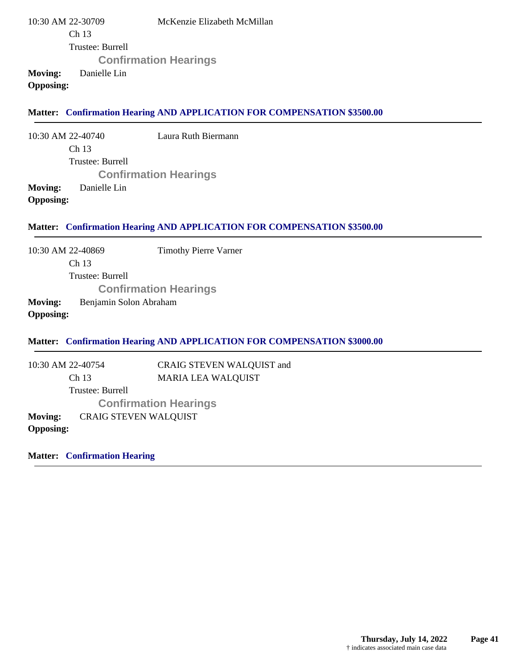10:30 AM 22-30709 Ch 13 Trustee: Burrell McKenzie Elizabeth McMillan **Confirmation Hearings Moving:** Danielle Lin

**Opposing:**

#### **Matter: Confirmation Hearing AND APPLICATION FOR COMPENSATION \$3500.00**

10:30 AM 22-40740 Ch 13 Trustee: Burrell Laura Ruth Biermann **Confirmation Hearings Moving:** Danielle Lin **Opposing:**

#### **Matter: Confirmation Hearing AND APPLICATION FOR COMPENSATION \$3500.00**

10:30 AM 22-40869 Ch 13 Trustee: Burrell Timothy Pierre Varner **Confirmation Hearings**

### **Moving:** Benjamin Solon Abraham **Opposing:**

#### **Matter: Confirmation Hearing AND APPLICATION FOR COMPENSATION \$3000.00**

10:30 AM 22-40754 Ch 13 Trustee: Burrell CRAIG STEVEN WALQUIST and MARIA LEA WALQUIST **Confirmation Hearings Moving:** CRAIG STEVEN WALQUIST **Opposing:**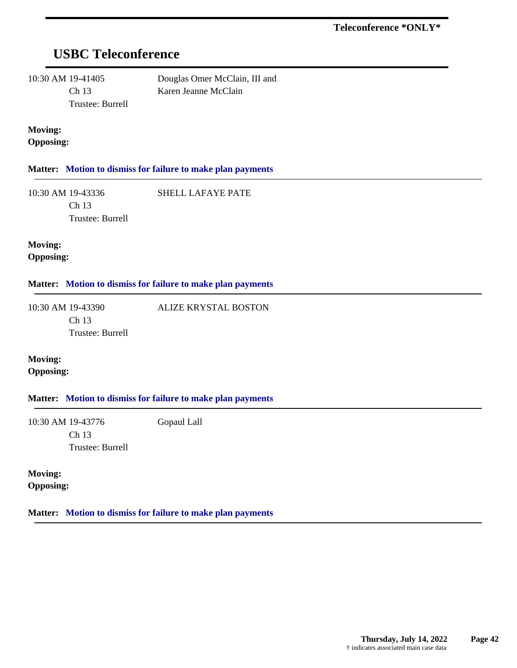## **USBC Teleconference**

10:30 AM 19-41405 Ch 13 Trustee: Burrell Douglas Omer McClain, III and Karen Jeanne McClain

ALIZE KRYSTAL BOSTON

### **Moving: Opposing:**

### **Matter: Motion to dismiss for failure to make plan payments**

10:30 AM 19-43336 Ch 13 Trustee: Burrell SHELL LAFAYE PATE

**Moving: Opposing:**

#### **Matter: Motion to dismiss for failure to make plan payments**

10:30 AM 19-43390 Ch 13 Trustee: Burrell

**Moving: Opposing:**

#### **Matter: Motion to dismiss for failure to make plan payments**

10:30 AM 19-43776 Ch 13 Trustee: Burrell Gopaul Lall

**Moving: Opposing:**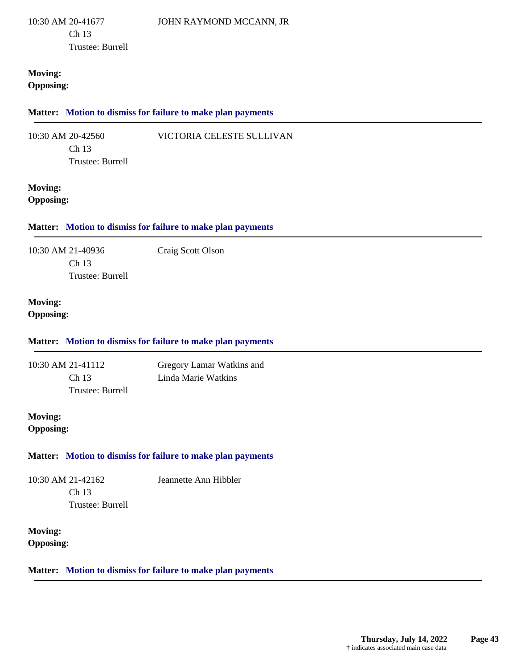### **Moving: Opposing:**

#### **Matter: Motion to dismiss for failure to make plan payments**

| 10:30 AM 20-42560 | VICTORIA CELESTE SULLIVAN |
|-------------------|---------------------------|
| Ch13              |                           |
| Trustee: Burrell  |                           |

### **Moving: Opposing:**

### **Matter: Motion to dismiss for failure to make plan payments**

| 10:30 AM 21-40936 | Craig Scott Olson |
|-------------------|-------------------|
| Ch <sub>13</sub>  |                   |
| Trustee: Burrell  |                   |

### **Moving: Opposing:**

## **Matter: Motion to dismiss for failure to make plan payments**

10:30 AM 21-41112 Ch 13 Trustee: Burrell Gregory Lamar Watkins and Linda Marie Watkins

## **Moving: Opposing:**

## **Matter: Motion to dismiss for failure to make plan payments**

10:30 AM 21-42162 Ch 13 Trustee: Burrell Jeannette Ann Hibbler

**Moving: Opposing:**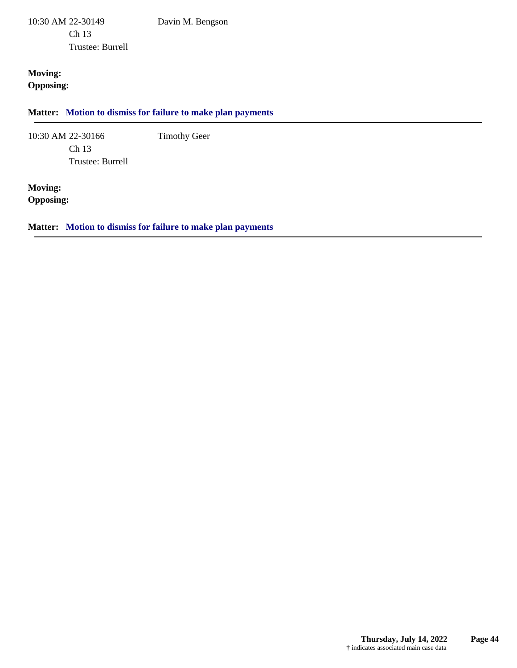10:30 AM 22-30149 Ch 13 Trustee: Burrell

**Moving: Opposing:**

**Matter: Motion to dismiss for failure to make plan payments**

Davin M. Bengson

Timothy Geer

10:30 AM 22-30166 Ch 13 Trustee: Burrell

**Moving: Opposing:**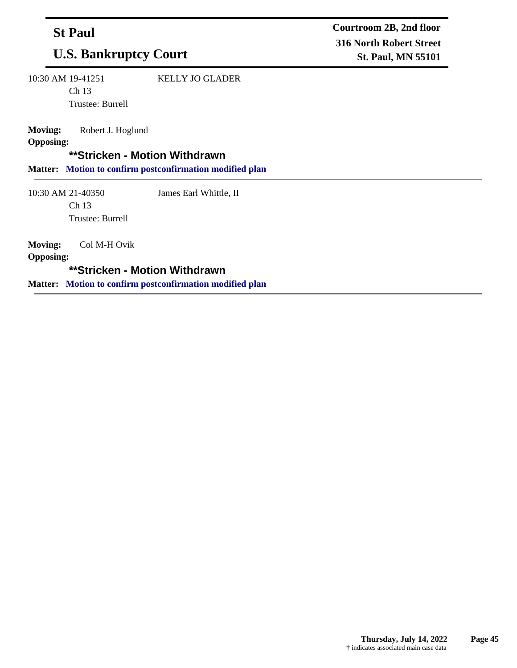| <b>St Paul</b><br><b>U.S. Bankruptcy Court</b>                                                                                                       |                        | Courtroom 2B, 2nd floor<br><b>316 North Robert Street</b><br><b>St. Paul, MN 55101</b> |  |
|------------------------------------------------------------------------------------------------------------------------------------------------------|------------------------|----------------------------------------------------------------------------------------|--|
| 10:30 AM 19-41251<br>Ch 13<br>Trustee: Burrell                                                                                                       | <b>KELLY JO GLADER</b> |                                                                                        |  |
| <b>Moving:</b><br>Robert J. Hoglund<br><b>Opposing:</b><br>**Stricken - Motion Withdrawn<br>Matter: Motion to confirm postconfirmation modified plan |                        |                                                                                        |  |
| 10:30 AM 21-40350<br>Ch 13<br>Trustee: Burrell                                                                                                       | James Earl Whittle, II |                                                                                        |  |
| <b>Moving:</b><br>Col M-H Ovik<br><b>Opposing:</b>                                                                                                   |                        |                                                                                        |  |

**\*\*Stricken - Motion Withdrawn**

**Matter: Motion to confirm postconfirmation modified plan**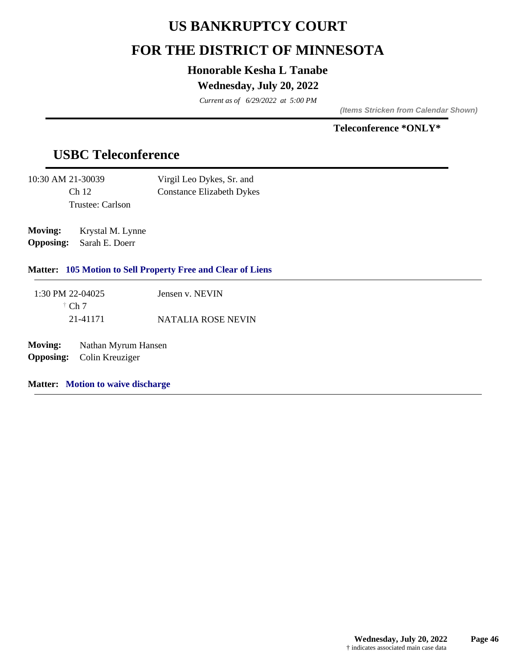## **US BANKRUPTCY COURT**

## **FOR THE DISTRICT OF MINNESOTA**

## **Honorable Kesha L Tanabe**

## **Wednesday, July 20, 2022**

*Current as of 6/29/2022 at 5:00 PM*

*(Items Stricken from Calendar Shown)*

## **Teleconference \*ONLY\***

## **USBC Teleconference**

| 10:30 AM 21-30039 | Virgil Leo Dykes, Sr. and        |
|-------------------|----------------------------------|
| Ch <sub>12</sub>  | <b>Constance Elizabeth Dykes</b> |
| Trustee: Carlson  |                                  |

**Moving:** Krystal M. Lynne **Opposing:** Sarah E. Doerr

## **Matter: 105 Motion to Sell Property Free and Clear of Liens**

| 1:30 PM 22-04025 | Jensen v. NEVIN    |
|------------------|--------------------|
| $\dagger$ Ch 7   |                    |
| 21-41171         | NATALIA ROSE NEVIN |

**Moving:** Nathan Myrum Hansen **Opposing:** Colin Kreuziger

**Matter: Motion to waive discharge**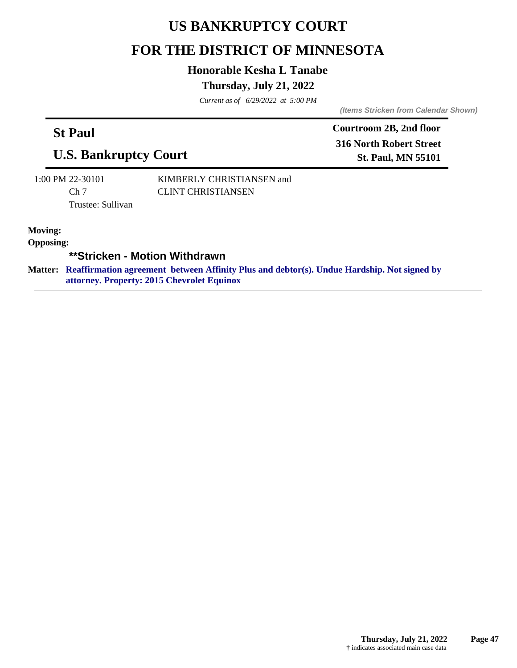## **US BANKRUPTCY COURT**

## **FOR THE DISTRICT OF MINNESOTA**

## **Honorable Kesha L Tanabe**

## **Thursday, July 21, 2022**

*Current as of 6/29/2022 at 5:00 PM*

*(Items Stricken from Calendar Shown)*

## **St Paul**

**U.S. Bankruptcy Court**

**Courtroom 2B, 2nd floor 316 North Robert Street St. Paul, MN 55101**

1:00 PM 22-30101 Ch<sub>7</sub> Trustee: Sullivan KIMBERLY CHRISTIANSEN and CLINT CHRISTIANSEN

**Moving:**

**Opposing:**

**\*\*Stricken - Motion Withdrawn**

**Reaffirmation agreement between Affinity Plus and debtor(s). Undue Hardship. Not signed by Matter: attorney. Property: 2015 Chevrolet Equinox**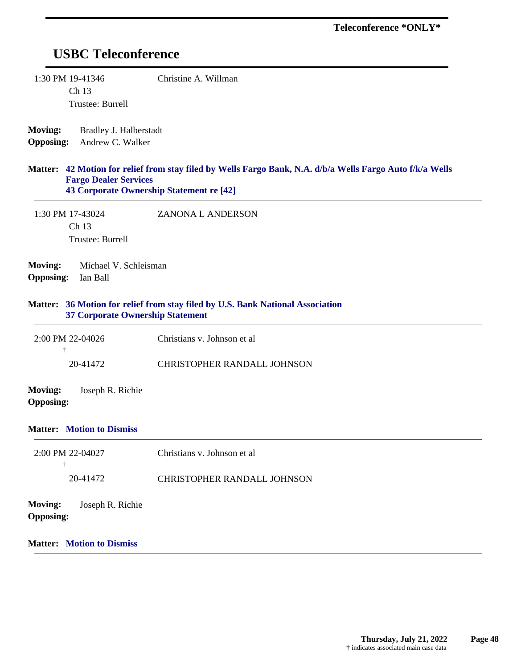## **USBC Teleconference**

| 1:30 PM 19-41346 | Christine A. Willman |
|------------------|----------------------|
| Ch <sub>13</sub> |                      |
| Trustee: Burrell |                      |

**Moving:** Bradley J. Halberstadt **Opposing:** Andrew C. Walker

#### **42 Motion for relief from stay filed by Wells Fargo Bank, N.A. d/b/a Wells Fargo Auto f/k/a Wells Matter: Fargo Dealer Services 43 Corporate Ownership Statement re [42]**

1:30 PM 17-43024 Ch 13 Trustee: Burrell ZANONA L ANDERSON

**Moving:** Michael V. Schleisman **Opposing:** Ian Ball

#### **36 Motion for relief from stay filed by U.S. Bank National Association Matter: 37 Corporate Ownership Statement**

| $2:00 \text{ PM} 22-04026$ | Christians v. Johnson et al        |
|----------------------------|------------------------------------|
|                            |                                    |
| 20-41472                   | <b>CHRISTOPHER RANDALL JOHNSON</b> |

**Moving:** Joseph R. Richie **Opposing:**

#### **Matter: Motion to Dismiss**

| $2:00$ PM 22-04027<br>÷                                | Christians v. Johnson et al |
|--------------------------------------------------------|-----------------------------|
| 20-41472                                               | CHRISTOPHER RANDALL JOHNSON |
| <b>Moving:</b><br>Joseph R. Richie<br><b>Opposing:</b> |                             |
| <b>Matter:</b> Motion to Dismiss                       |                             |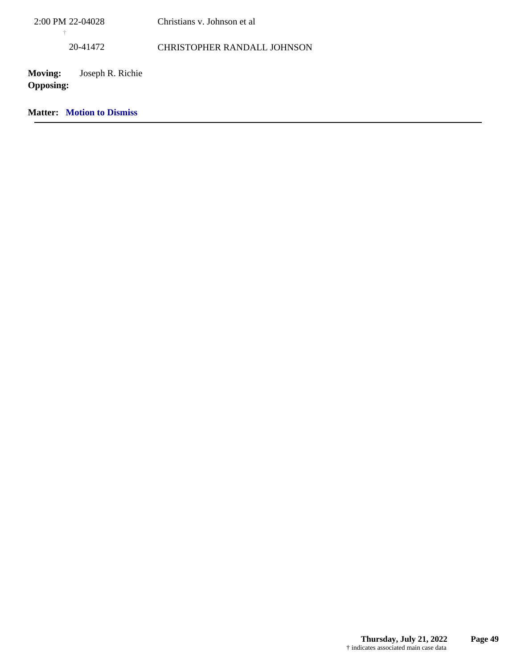| 2:00 PM 22-04028<br>÷                                  | Christians v. Johnson et al        |  |
|--------------------------------------------------------|------------------------------------|--|
| 20-41472                                               | <b>CHRISTOPHER RANDALL JOHNSON</b> |  |
| <b>Moving:</b><br>Joseph R. Richie<br><b>Opposing:</b> |                                    |  |
| <b>Matter:</b> Motion to Dismiss                       |                                    |  |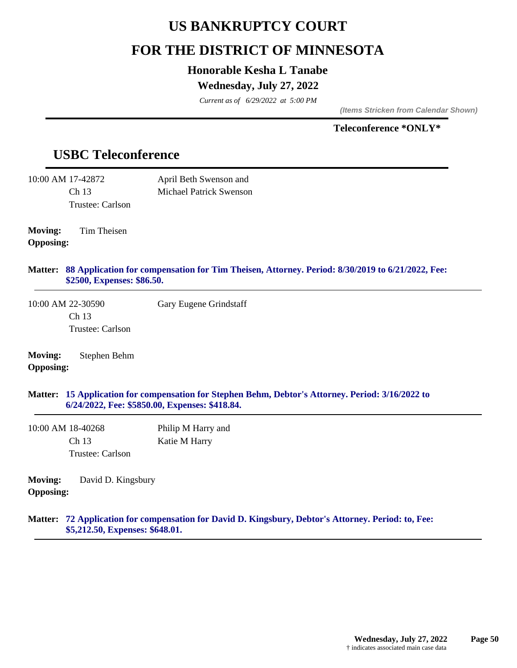## **US BANKRUPTCY COURT**

## **FOR THE DISTRICT OF MINNESOTA**

## **Honorable Kesha L Tanabe**

## **Wednesday, July 27, 2022**

*Current as of 6/29/2022 at 5:00 PM*

*(Items Stricken from Calendar Shown)*

## **Teleconference \*ONLY\***

## **USBC Teleconference**

**Opposing:**

|                                    | 10:00 AM 17-42872          | April Beth Swenson and                                                                                                                              |
|------------------------------------|----------------------------|-----------------------------------------------------------------------------------------------------------------------------------------------------|
|                                    | Ch 13                      | <b>Michael Patrick Swenson</b>                                                                                                                      |
|                                    | Trustee: Carlson           |                                                                                                                                                     |
| <b>Moving:</b><br><b>Opposing:</b> | Tim Theisen                |                                                                                                                                                     |
| <b>Matter:</b>                     | \$2500, Expenses: \$86.50. | 88 Application for compensation for Tim Theisen, Attorney. Period: 8/30/2019 to 6/21/2022, Fee:                                                     |
|                                    | 10:00 AM 22-30590          | Gary Eugene Grindstaff                                                                                                                              |
|                                    | Ch <sub>13</sub>           |                                                                                                                                                     |
|                                    | Trustee: Carlson           |                                                                                                                                                     |
| <b>Moving:</b><br><b>Opposing:</b> | Stephen Behm               |                                                                                                                                                     |
|                                    |                            | Matter: 15 Application for compensation for Stephen Behm, Debtor's Attorney. Period: 3/16/2022 to<br>6/24/2022, Fee: \$5850.00, Expenses: \$418.84. |
|                                    | 10:00 AM 18-40268          | Philip M Harry and                                                                                                                                  |
|                                    | Ch <sub>13</sub>           | Katie M Harry                                                                                                                                       |
|                                    | Trustee: Carlson           |                                                                                                                                                     |
| <b>Moving:</b>                     | David D. Kingsbury         |                                                                                                                                                     |

### **72 Application for compensation for David D. Kingsbury, Debtor's Attorney. Period: to, Fee: Matter: \$5,212.50, Expenses: \$648.01.**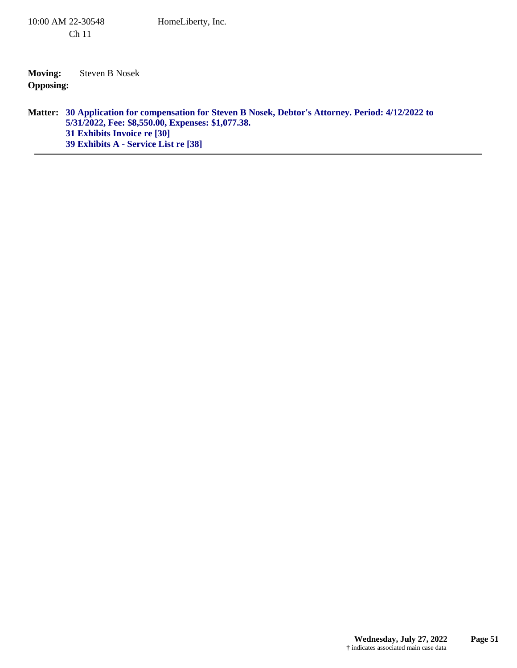**Moving:** Steven B Nosek **Opposing:**

### **30 Application for compensation for Steven B Nosek, Debtor's Attorney. Period: 4/12/2022 to Matter: 5/31/2022, Fee: \$8,550.00, Expenses: \$1,077.38. 31 Exhibits Invoice re [30] 39 Exhibits A - Service List re [38]**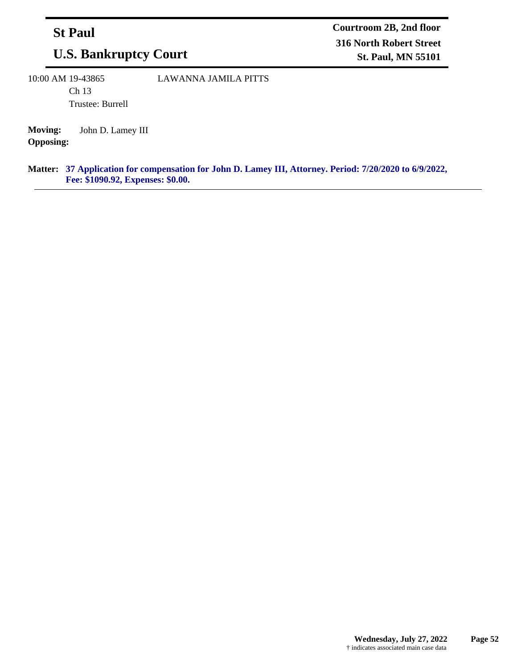## **St Paul**

# **U.S. Bankruptcy Court**

10:00 AM 19-43865 Ch 13

LAWANNA JAMILA PITTS

Trustee: Burrell

**Moving:** John D. Lamey III **Opposing:**

#### **37 Application for compensation for John D. Lamey III, Attorney. Period: 7/20/2020 to 6/9/2022, Matter: Fee: \$1090.92, Expenses: \$0.00.**

**Courtroom 2B, 2nd floor 316 North Robert Street St. Paul, MN 55101**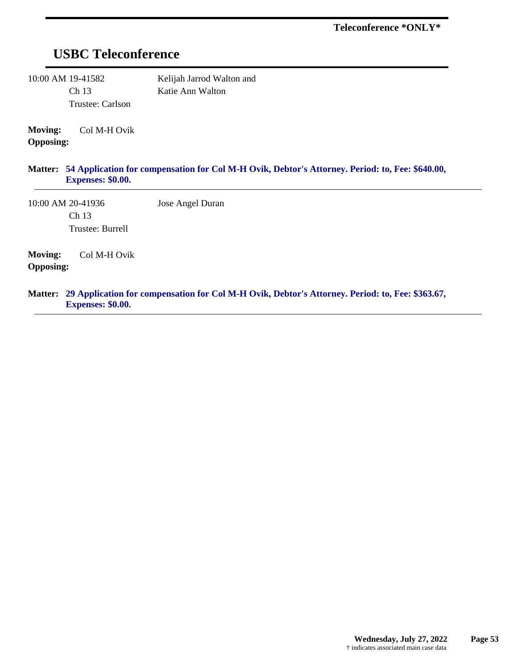## **USBC Teleconference**

10:00 AM 19-41582 Ch 13 Trustee: Carlson Kelijah Jarrod Walton and Katie Ann Walton

**Moving:** Col M-H Ovik **Opposing:**

#### **54 Application for compensation for Col M-H Ovik, Debtor's Attorney. Period: to, Fee: \$640.00, Matter: Expenses: \$0.00.**

10:00 AM 20-41936 Ch 13 Trustee: Burrell Jose Angel Duran

**Moving:** Col M-H Ovik **Opposing:**

#### **29 Application for compensation for Col M-H Ovik, Debtor's Attorney. Period: to, Fee: \$363.67, Matter: Expenses: \$0.00.**